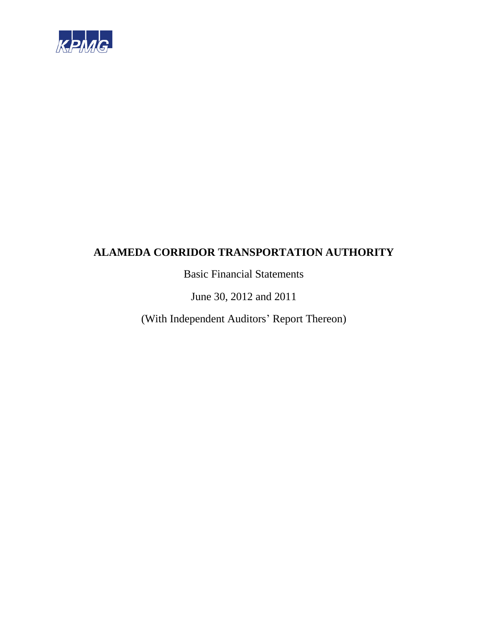

Basic Financial Statements

June 30, 2012 and 2011

(With Independent Auditors' Report Thereon)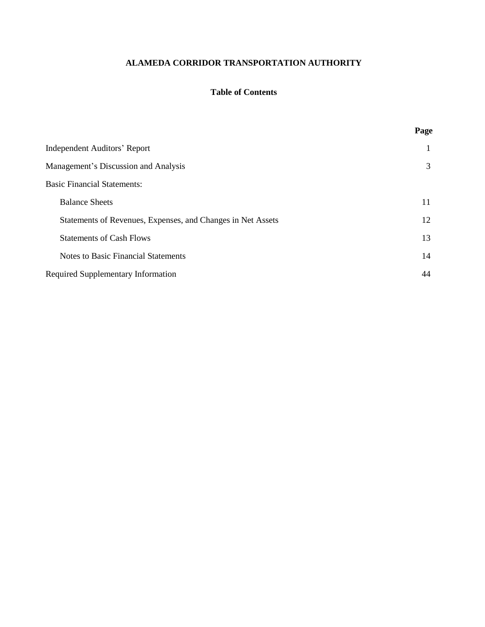## **Table of Contents**

|                                                             | Page |
|-------------------------------------------------------------|------|
| <b>Independent Auditors' Report</b>                         |      |
| Management's Discussion and Analysis                        | 3    |
| <b>Basic Financial Statements:</b>                          |      |
| <b>Balance Sheets</b>                                       | 11   |
| Statements of Revenues, Expenses, and Changes in Net Assets | 12   |
| <b>Statements of Cash Flows</b>                             | 13   |
| <b>Notes to Basic Financial Statements</b>                  | 14   |
| <b>Required Supplementary Information</b>                   | 44   |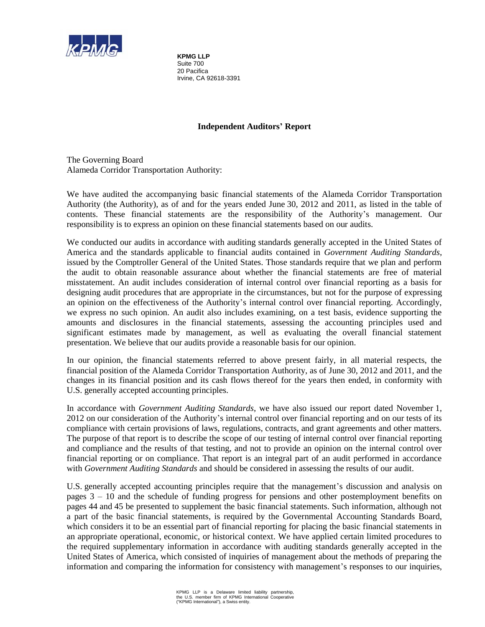

**KPMG LLP**  Suite 700 20 Pacifica Irvine, CA 92618-3391

## **Independent Auditors' Report**

The Governing Board Alameda Corridor Transportation Authority:

We have audited the accompanying basic financial statements of the Alameda Corridor Transportation Authority (the Authority), as of and for the years ended June 30, 2012 and 2011, as listed in the table of contents. These financial statements are the responsibility of the Authority's management. Our responsibility is to express an opinion on these financial statements based on our audits.

We conducted our audits in accordance with auditing standards generally accepted in the United States of America and the standards applicable to financial audits contained in *Government Auditing Standards*, issued by the Comptroller General of the United States. Those standards require that we plan and perform the audit to obtain reasonable assurance about whether the financial statements are free of material misstatement. An audit includes consideration of internal control over financial reporting as a basis for designing audit procedures that are appropriate in the circumstances, but not for the purpose of expressing an opinion on the effectiveness of the Authority's internal control over financial reporting. Accordingly, we express no such opinion. An audit also includes examining, on a test basis, evidence supporting the amounts and disclosures in the financial statements, assessing the accounting principles used and significant estimates made by management, as well as evaluating the overall financial statement presentation. We believe that our audits provide a reasonable basis for our opinion.

In our opinion, the financial statements referred to above present fairly, in all material respects, the financial position of the Alameda Corridor Transportation Authority, as of June 30, 2012 and 2011, and the changes in its financial position and its cash flows thereof for the years then ended, in conformity with U.S. generally accepted accounting principles.

In accordance with *Government Auditing Standards*, we have also issued our report dated November 1, 2012 on our consideration of the Authority's internal control over financial reporting and on our tests of its compliance with certain provisions of laws, regulations, contracts, and grant agreements and other matters. The purpose of that report is to describe the scope of our testing of internal control over financial reporting and compliance and the results of that testing, and not to provide an opinion on the internal control over financial reporting or on compliance. That report is an integral part of an audit performed in accordance with *Government Auditing Standards* and should be considered in assessing the results of our audit.

U.S. generally accepted accounting principles require that the management's discussion and analysis on pages 3 – 10 and the schedule of funding progress for pensions and other postemployment benefits on pages 44 and 45 be presented to supplement the basic financial statements. Such information, although not a part of the basic financial statements, is required by the Governmental Accounting Standards Board, which considers it to be an essential part of financial reporting for placing the basic financial statements in an appropriate operational, economic, or historical context. We have applied certain limited procedures to the required supplementary information in accordance with auditing standards generally accepted in the United States of America, which consisted of inquiries of management about the methods of preparing the information and comparing the information for consistency with management's responses to our inquiries,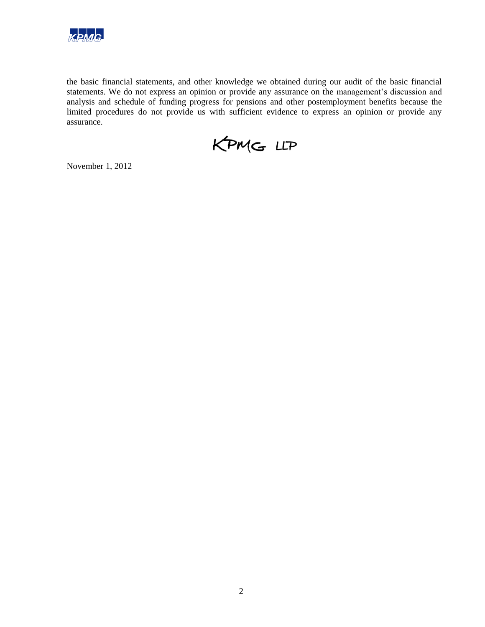

the basic financial statements, and other knowledge we obtained during our audit of the basic financial statements. We do not express an opinion or provide any assurance on the management's discussion and analysis and schedule of funding progress for pensions and other postemployment benefits because the limited procedures do not provide us with sufficient evidence to express an opinion or provide any assurance.

KPMG LLP

November 1, 2012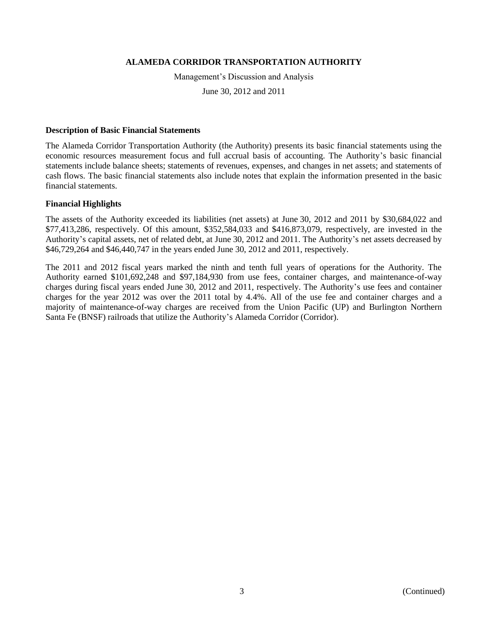Management's Discussion and Analysis

June 30, 2012 and 2011

#### **Description of Basic Financial Statements**

The Alameda Corridor Transportation Authority (the Authority) presents its basic financial statements using the economic resources measurement focus and full accrual basis of accounting. The Authority's basic financial statements include balance sheets; statements of revenues, expenses, and changes in net assets; and statements of cash flows. The basic financial statements also include notes that explain the information presented in the basic financial statements.

#### **Financial Highlights**

The assets of the Authority exceeded its liabilities (net assets) at June 30, 2012 and 2011 by \$30,684,022 and \$77,413,286, respectively. Of this amount, \$352,584,033 and \$416,873,079, respectively, are invested in the Authority's capital assets, net of related debt, at June 30, 2012 and 2011. The Authority's net assets decreased by \$46,729,264 and \$46,440,747 in the years ended June 30, 2012 and 2011, respectively.

The 2011 and 2012 fiscal years marked the ninth and tenth full years of operations for the Authority. The Authority earned \$101,692,248 and \$97,184,930 from use fees, container charges, and maintenance-of-way charges during fiscal years ended June 30, 2012 and 2011, respectively. The Authority's use fees and container charges for the year 2012 was over the 2011 total by 4.4%. All of the use fee and container charges and a majority of maintenance-of-way charges are received from the Union Pacific (UP) and Burlington Northern Santa Fe (BNSF) railroads that utilize the Authority's Alameda Corridor (Corridor).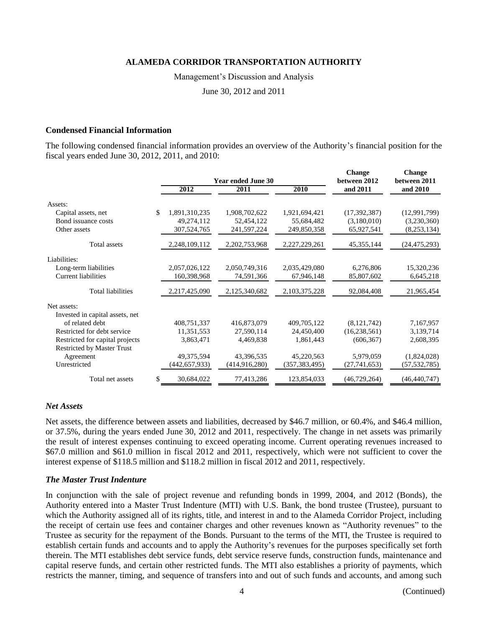Management's Discussion and Analysis

June 30, 2012 and 2011

## **Condensed Financial Information**

The following condensed financial information provides an overview of the Authority's financial position for the fiscal years ended June 30, 2012, 2011, and 2010:

|                                   | <b>Year ended June 30</b> |                 |                  | Change<br>between 2012 | <b>Change</b><br>between 2011 |  |
|-----------------------------------|---------------------------|-----------------|------------------|------------------------|-------------------------------|--|
|                                   | 2012                      | 2011            | 2010             | and 2011               | and 2010                      |  |
| Assets:                           |                           |                 |                  |                        |                               |  |
| Capital assets, net               | \$<br>1,891,310,235       | 1,908,702,622   | 1,921,694,421    | (17, 392, 387)         | (12,991,799)                  |  |
| Bond issuance costs               | 49,274,112                | 52,454,122      | 55,684,482       | (3,180,010)            | (3,230,360)                   |  |
| Other assets                      | 307,524,765               | 241,597,224     | 249,850,358      | 65,927,541             | (8, 253, 134)                 |  |
| Total assets                      | 2,248,109,112             | 2,202,753,968   | 2,227,229,261    | 45, 355, 144           | (24, 475, 293)                |  |
| Liabilities:                      |                           |                 |                  |                        |                               |  |
| Long-term liabilities             | 2,057,026,122             | 2,050,749,316   | 2,035,429,080    | 6,276,806              | 15,320,236                    |  |
| <b>Current liabilities</b>        | 160,398,968               | 74,591,366      | 67,946,148       | 85,807,602             | 6,645,218                     |  |
| <b>Total liabilities</b>          | 2,217,425,090             | 2,125,340,682   | 2, 103, 375, 228 | 92,084,408             | 21,965,454                    |  |
| Net assets:                       |                           |                 |                  |                        |                               |  |
| Invested in capital assets, net   |                           |                 |                  |                        |                               |  |
| of related debt                   | 408,751,337               | 416,873,079     | 409,705,122      | (8, 121, 742)          | 7,167,957                     |  |
| Restricted for debt service       | 11,351,553                | 27,590,114      | 24,450,400       | (16, 238, 561)         | 3,139,714                     |  |
| Restricted for capital projects   | 3,863,471                 | 4,469,838       | 1,861,443        | (606, 367)             | 2,608,395                     |  |
| <b>Restricted by Master Trust</b> |                           |                 |                  |                        |                               |  |
| Agreement                         | 49,375,594                | 43,396,535      | 45,220,563       | 5,979,059              | (1,824,028)                   |  |
| Unrestricted                      | (442, 657, 933)           | (414, 916, 280) | (357, 383, 495)  | (27, 741, 653)         | (57, 532, 785)                |  |
| Total net assets                  | \$<br>30,684,022          | 77,413,286      | 123,854,033      | (46, 729, 264)         | (46, 440, 747)                |  |

#### *Net Assets*

Net assets, the difference between assets and liabilities, decreased by \$46.7 million, or 60.4%, and \$46.4 million, or 37.5%, during the years ended June 30, 2012 and 2011, respectively. The change in net assets was primarily the result of interest expenses continuing to exceed operating income. Current operating revenues increased to \$67.0 million and \$61.0 million in fiscal 2012 and 2011, respectively, which were not sufficient to cover the interest expense of \$118.5 million and \$118.2 million in fiscal 2012 and 2011, respectively.

#### *The Master Trust Indenture*

In conjunction with the sale of project revenue and refunding bonds in 1999, 2004, and 2012 (Bonds), the Authority entered into a Master Trust Indenture (MTI) with U.S. Bank, the bond trustee (Trustee), pursuant to which the Authority assigned all of its rights, title, and interest in and to the Alameda Corridor Project, including the receipt of certain use fees and container charges and other revenues known as "Authority revenues" to the Trustee as security for the repayment of the Bonds. Pursuant to the terms of the MTI, the Trustee is required to establish certain funds and accounts and to apply the Authority's revenues for the purposes specifically set forth therein. The MTI establishes debt service funds, debt service reserve funds, construction funds, maintenance and capital reserve funds, and certain other restricted funds. The MTI also establishes a priority of payments, which restricts the manner, timing, and sequence of transfers into and out of such funds and accounts, and among such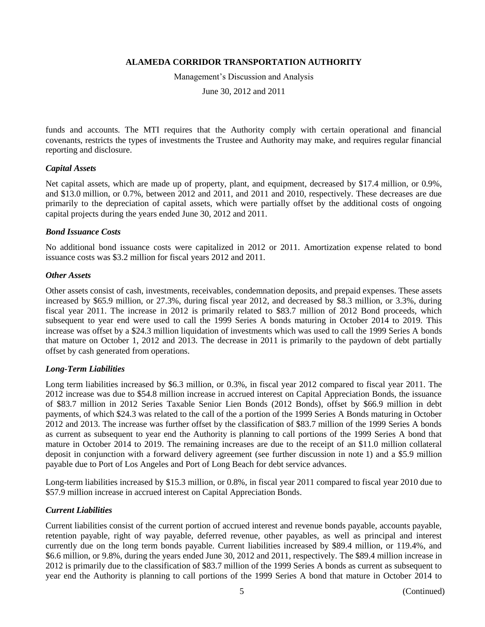Management's Discussion and Analysis

June 30, 2012 and 2011

funds and accounts. The MTI requires that the Authority comply with certain operational and financial covenants, restricts the types of investments the Trustee and Authority may make, and requires regular financial reporting and disclosure.

## *Capital Assets*

Net capital assets, which are made up of property, plant, and equipment, decreased by \$17.4 million, or 0.9%, and \$13.0 million, or 0.7%, between 2012 and 2011, and 2011 and 2010, respectively. These decreases are due primarily to the depreciation of capital assets, which were partially offset by the additional costs of ongoing capital projects during the years ended June 30, 2012 and 2011.

## *Bond Issuance Costs*

No additional bond issuance costs were capitalized in 2012 or 2011. Amortization expense related to bond issuance costs was \$3.2 million for fiscal years 2012 and 2011.

## *Other Assets*

Other assets consist of cash, investments, receivables, condemnation deposits, and prepaid expenses. These assets increased by \$65.9 million, or 27.3%, during fiscal year 2012, and decreased by \$8.3 million, or 3.3%, during fiscal year 2011. The increase in 2012 is primarily related to \$83.7 million of 2012 Bond proceeds, which subsequent to year end were used to call the 1999 Series A bonds maturing in October 2014 to 2019. This increase was offset by a \$24.3 million liquidation of investments which was used to call the 1999 Series A bonds that mature on October 1, 2012 and 2013. The decrease in 2011 is primarily to the paydown of debt partially offset by cash generated from operations.

## *Long-Term Liabilities*

Long term liabilities increased by \$6.3 million, or 0.3%, in fiscal year 2012 compared to fiscal year 2011. The 2012 increase was due to \$54.8 million increase in accrued interest on Capital Appreciation Bonds, the issuance of \$83.7 million in 2012 Series Taxable Senior Lien Bonds (2012 Bonds), offset by \$66.9 million in debt payments, of which \$24.3 was related to the call of the a portion of the 1999 Series A Bonds maturing in October 2012 and 2013. The increase was further offset by the classification of \$83.7 million of the 1999 Series A bonds as current as subsequent to year end the Authority is planning to call portions of the 1999 Series A bond that mature in October 2014 to 2019. The remaining increases are due to the receipt of an \$11.0 million collateral deposit in conjunction with a forward delivery agreement (see further discussion in note 1) and a \$5.9 million payable due to Port of Los Angeles and Port of Long Beach for debt service advances.

Long-term liabilities increased by \$15.3 million, or 0.8%, in fiscal year 2011 compared to fiscal year 2010 due to \$57.9 million increase in accrued interest on Capital Appreciation Bonds.

## *Current Liabilities*

Current liabilities consist of the current portion of accrued interest and revenue bonds payable, accounts payable, retention payable, right of way payable, deferred revenue, other payables, as well as principal and interest currently due on the long term bonds payable. Current liabilities increased by \$89.4 million, or 119.4%, and \$6.6 million, or 9.8%, during the years ended June 30, 2012 and 2011, respectively. The \$89.4 million increase in 2012 is primarily due to the classification of \$83.7 million of the 1999 Series A bonds as current as subsequent to year end the Authority is planning to call portions of the 1999 Series A bond that mature in October 2014 to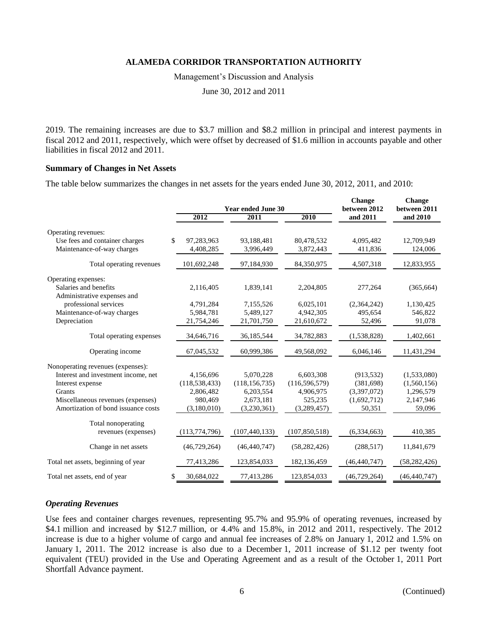Management's Discussion and Analysis

June 30, 2012 and 2011

2019. The remaining increases are due to \$3.7 million and \$8.2 million in principal and interest payments in fiscal 2012 and 2011, respectively, which were offset by decreased of \$1.6 million in accounts payable and other liabilities in fiscal 2012 and 2011.

#### **Summary of Changes in Net Assets**

The table below summarizes the changes in net assets for the years ended June 30, 2012, 2011, and 2010:

|                                     | <b>Year ended June 30</b> |                 |                 | <b>Change</b><br>between 2012 | <b>Change</b><br>between 2011 |
|-------------------------------------|---------------------------|-----------------|-----------------|-------------------------------|-------------------------------|
|                                     | 2012                      | 2011            | 2010            | and 2011                      | and 2010                      |
| Operating revenues:                 |                           |                 |                 |                               |                               |
| Use fees and container charges      | \$<br>97,283,963          | 93,188,481      | 80,478,532      | 4,095,482                     | 12,709,949                    |
| Maintenance-of-way charges          | 4,408,285                 | 3,996,449       | 3,872,443       | 411,836                       | 124,006                       |
| Total operating revenues            | 101,692,248               | 97,184,930      | 84,350,975      | 4,507,318                     | 12,833,955                    |
| Operating expenses:                 |                           |                 |                 |                               |                               |
| Salaries and benefits               | 2.116.405                 | 1.839.141       | 2,204,805       | 277,264                       | (365, 664)                    |
| Administrative expenses and         |                           |                 |                 |                               |                               |
| professional services               | 4,791,284                 | 7,155,526       | 6,025,101       | (2,364,242)                   | 1,130,425                     |
| Maintenance-of-way charges          | 5,984,781                 | 5,489,127       | 4,942,305       | 495,654                       | 546,822                       |
| Depreciation                        | 21,754,246                | 21,701,750      | 21,610,672      | 52,496                        | 91,078                        |
| Total operating expenses            | 34,646,716                | 36,185,544      | 34,782,883      | (1,538,828)                   | 1,402,661                     |
| Operating income                    | 67,045,532                | 60,999,386      | 49,568,092      | 6,046,146                     | 11,431,294                    |
| Nonoperating revenues (expenses):   |                           |                 |                 |                               |                               |
| Interest and investment income, net | 4,156,696                 | 5,070,228       | 6,603,308       | (913, 532)                    | (1,533,080)                   |
| Interest expense                    | (118, 538, 433)           | (118, 156, 735) | (116, 596, 579) | (381,698)                     | (1,560,156)                   |
| Grants                              | 2,806,482                 | 6,203,554       | 4,906,975       | (3,397,072)                   | 1,296,579                     |
| Miscellaneous revenues (expenses)   | 980,469                   | 2,673,181       | 525,235         | (1,692,712)                   | 2,147,946                     |
| Amortization of bond issuance costs | (3,180,010)               | (3,230,361)     | (3,289,457)     | 50,351                        | 59,096                        |
| Total nonoperating                  |                           |                 |                 |                               |                               |
| revenues (expenses)                 | (113, 774, 796)           | (107, 440, 133) | (107, 850, 518) | (6, 334, 663)                 | 410,385                       |
| Change in net assets                | (46, 729, 264)            | (46, 440, 747)  | (58, 282, 426)  | (288, 517)                    | 11,841,679                    |
| Total net assets, beginning of year | 77,413,286                | 123,854,033     | 182, 136, 459   | (46, 440, 747)                | (58, 282, 426)                |
| Total net assets, end of year       | 30,684,022<br>\$          | 77,413,286      | 123,854,033     | (46, 729, 264)                | (46, 440, 747)                |

#### *Operating Revenues*

Use fees and container charges revenues, representing 95.7% and 95.9% of operating revenues, increased by \$4.1 million and increased by \$12.7 million, or 4.4% and 15.8%, in 2012 and 2011, respectively. The 2012 increase is due to a higher volume of cargo and annual fee increases of 2.8% on January 1, 2012 and 1.5% on January 1, 2011. The 2012 increase is also due to a December 1, 2011 increase of \$1.12 per twenty foot equivalent (TEU) provided in the Use and Operating Agreement and as a result of the October 1, 2011 Port Shortfall Advance payment.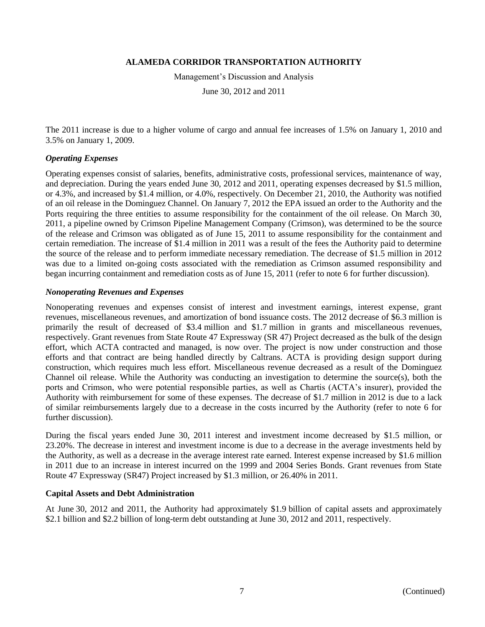Management's Discussion and Analysis

June 30, 2012 and 2011

The 2011 increase is due to a higher volume of cargo and annual fee increases of 1.5% on January 1, 2010 and 3.5% on January 1, 2009.

#### *Operating Expenses*

Operating expenses consist of salaries, benefits, administrative costs, professional services, maintenance of way, and depreciation. During the years ended June 30, 2012 and 2011, operating expenses decreased by \$1.5 million, or 4.3%, and increased by \$1.4 million, or 4.0%, respectively. On December 21, 2010, the Authority was notified of an oil release in the Dominguez Channel. On January 7, 2012 the EPA issued an order to the Authority and the Ports requiring the three entities to assume responsibility for the containment of the oil release. On March 30, 2011, a pipeline owned by Crimson Pipeline Management Company (Crimson), was determined to be the source of the release and Crimson was obligated as of June 15, 2011 to assume responsibility for the containment and certain remediation. The increase of \$1.4 million in 2011 was a result of the fees the Authority paid to determine the source of the release and to perform immediate necessary remediation. The decrease of \$1.5 million in 2012 was due to a limited on-going costs associated with the remediation as Crimson assumed responsibility and began incurring containment and remediation costs as of June 15, 2011 (refer to note 6 for further discussion).

## *Nonoperating Revenues and Expenses*

Nonoperating revenues and expenses consist of interest and investment earnings, interest expense, grant revenues, miscellaneous revenues, and amortization of bond issuance costs. The 2012 decrease of \$6.3 million is primarily the result of decreased of \$3.4 million and \$1.7 million in grants and miscellaneous revenues, respectively. Grant revenues from State Route 47 Expressway (SR 47) Project decreased as the bulk of the design effort, which ACTA contracted and managed, is now over. The project is now under construction and those efforts and that contract are being handled directly by Caltrans. ACTA is providing design support during construction, which requires much less effort. Miscellaneous revenue decreased as a result of the Dominguez Channel oil release. While the Authority was conducting an investigation to determine the source(s), both the ports and Crimson, who were potential responsible parties, as well as Chartis (ACTA's insurer), provided the Authority with reimbursement for some of these expenses. The decrease of \$1.7 million in 2012 is due to a lack of similar reimbursements largely due to a decrease in the costs incurred by the Authority (refer to note 6 for further discussion).

During the fiscal years ended June 30, 2011 interest and investment income decreased by \$1.5 million, or 23.20%. The decrease in interest and investment income is due to a decrease in the average investments held by the Authority, as well as a decrease in the average interest rate earned. Interest expense increased by \$1.6 million in 2011 due to an increase in interest incurred on the 1999 and 2004 Series Bonds. Grant revenues from State Route 47 Expressway (SR47) Project increased by \$1.3 million, or 26.40% in 2011.

#### **Capital Assets and Debt Administration**

At June 30, 2012 and 2011, the Authority had approximately \$1.9 billion of capital assets and approximately \$2.1 billion and \$2.2 billion of long-term debt outstanding at June 30, 2012 and 2011, respectively.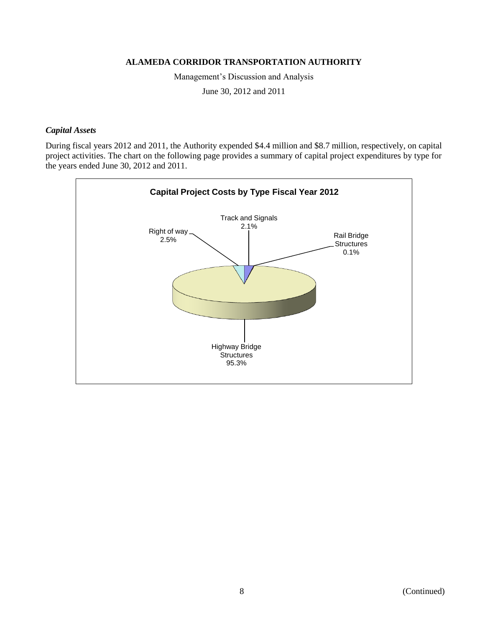Management's Discussion and Analysis

June 30, 2012 and 2011

## *Capital Assets*

During fiscal years 2012 and 2011, the Authority expended \$4.4 million and \$8.7 million, respectively, on capital project activities. The chart on the following page provides a summary of capital project expenditures by type for the years ended June 30, 2012 and 2011.

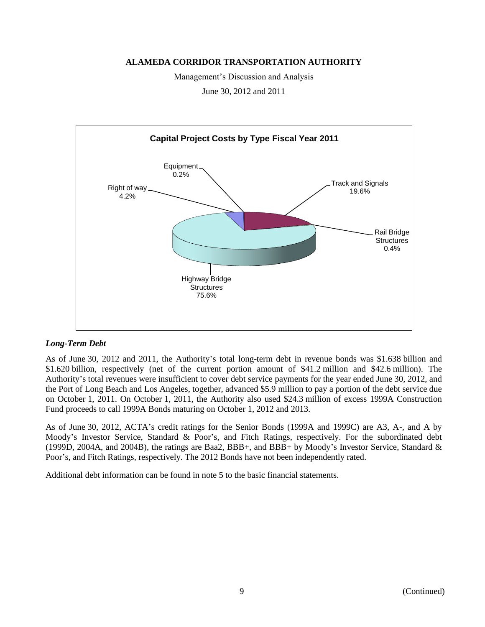Management's Discussion and Analysis

June 30, 2012 and 2011



## *Long-Term Debt*

As of June 30, 2012 and 2011, the Authority's total long-term debt in revenue bonds was \$1.638 billion and \$1.620 billion, respectively (net of the current portion amount of \$41.2 million and \$42.6 million). The Authority's total revenues were insufficient to cover debt service payments for the year ended June 30, 2012, and the Port of Long Beach and Los Angeles, together, advanced \$5.9 million to pay a portion of the debt service due on October 1, 2011. On October 1, 2011, the Authority also used \$24.3 million of excess 1999A Construction Fund proceeds to call 1999A Bonds maturing on October 1, 2012 and 2013.

As of June 30, 2012, ACTA's credit ratings for the Senior Bonds (1999A and 1999C) are A3, A-, and A by Moody's Investor Service, Standard & Poor's, and Fitch Ratings, respectively. For the subordinated debt (1999D, 2004A, and 2004B), the ratings are Baa2, BBB+, and BBB+ by Moody's Investor Service, Standard & Poor's, and Fitch Ratings, respectively. The 2012 Bonds have not been independently rated.

Additional debt information can be found in note 5 to the basic financial statements.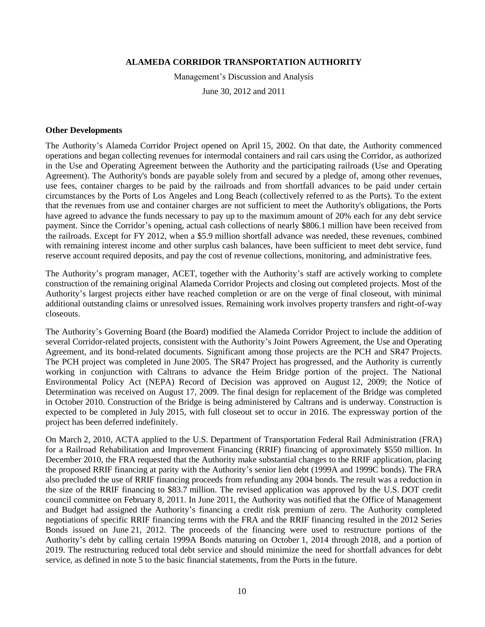Management's Discussion and Analysis

June 30, 2012 and 2011

#### **Other Developments**

The Authority's Alameda Corridor Project opened on April 15, 2002. On that date, the Authority commenced operations and began collecting revenues for intermodal containers and rail cars using the Corridor, as authorized in the Use and Operating Agreement between the Authority and the participating railroads (Use and Operating Agreement). The Authority's bonds are payable solely from and secured by a pledge of, among other revenues, use fees, container charges to be paid by the railroads and from shortfall advances to be paid under certain circumstances by the Ports of Los Angeles and Long Beach (collectively referred to as the Ports). To the extent that the revenues from use and container charges are not sufficient to meet the Authority's obligations, the Ports have agreed to advance the funds necessary to pay up to the maximum amount of 20% each for any debt service payment. Since the Corridor's opening, actual cash collections of nearly \$806.1 million have been received from the railroads. Except for FY 2012, when a \$5.9 million shortfall advance was needed, these revenues, combined with remaining interest income and other surplus cash balances, have been sufficient to meet debt service, fund reserve account required deposits, and pay the cost of revenue collections, monitoring, and administrative fees.

The Authority's program manager, ACET, together with the Authority's staff are actively working to complete construction of the remaining original Alameda Corridor Projects and closing out completed projects. Most of the Authority's largest projects either have reached completion or are on the verge of final closeout, with minimal additional outstanding claims or unresolved issues. Remaining work involves property transfers and right-of-way closeouts.

The Authority's Governing Board (the Board) modified the Alameda Corridor Project to include the addition of several Corridor-related projects, consistent with the Authority's Joint Powers Agreement, the Use and Operating Agreement, and its bond-related documents. Significant among those projects are the PCH and SR47 Projects. The PCH project was completed in June 2005. The SR47 Project has progressed, and the Authority is currently working in conjunction with Caltrans to advance the Heim Bridge portion of the project. The National Environmental Policy Act (NEPA) Record of Decision was approved on August 12, 2009; the Notice of Determination was received on August 17, 2009. The final design for replacement of the Bridge was completed in October 2010. Construction of the Bridge is being administered by Caltrans and is underway. Construction is expected to be completed in July 2015, with full closeout set to occur in 2016. The expressway portion of the project has been deferred indefinitely.

On March 2, 2010, ACTA applied to the U.S. Department of Transportation Federal Rail Administration (FRA) for a Railroad Rehabilitation and Improvement Financing (RRIF) financing of approximately \$550 million. In December 2010, the FRA requested that the Authority make substantial changes to the RRIF application, placing the proposed RRIF financing at parity with the Authority's senior lien debt (1999A and 1999C bonds). The FRA also precluded the use of RRIF financing proceeds from refunding any 2004 bonds. The result was a reduction in the size of the RRIF financing to \$83.7 million. The revised application was approved by the U.S. DOT credit council committee on February 8, 2011. In June 2011, the Authority was notified that the Office of Management and Budget had assigned the Authority's financing a credit risk premium of zero. The Authority completed negotiations of specific RRIF financing terms with the FRA and the RRIF financing resulted in the 2012 Series Bonds issued on June 21, 2012. The proceeds of the financing were used to restructure portions of the Authority's debt by calling certain 1999A Bonds maturing on October 1, 2014 through 2018, and a portion of 2019. The restructuring reduced total debt service and should minimize the need for shortfall advances for debt service, as defined in note 5 to the basic financial statements, from the Ports in the future.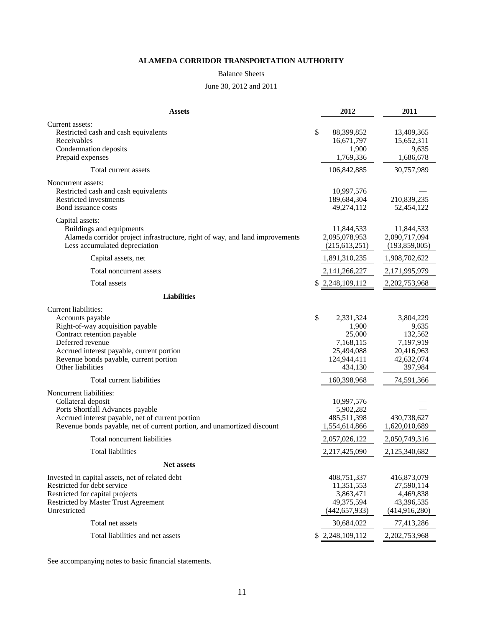#### Balance Sheets

## June 30, 2012 and 2011

| <b>Assets</b>                                                                                                                                                                                                                              | 2012                                                                                    | 2011                                                                              |
|--------------------------------------------------------------------------------------------------------------------------------------------------------------------------------------------------------------------------------------------|-----------------------------------------------------------------------------------------|-----------------------------------------------------------------------------------|
| Current assets:<br>Restricted cash and cash equivalents<br>Receivables<br>Condemnation deposits<br>Prepaid expenses                                                                                                                        | \$<br>88,399,852<br>16,671,797<br>1,900<br>1,769,336                                    | 13,409,365<br>15,652,311<br>9,635<br>1,686,678                                    |
| Total current assets                                                                                                                                                                                                                       | 106,842,885                                                                             | 30,757,989                                                                        |
| Noncurrent assets:<br>Restricted cash and cash equivalents<br>Restricted investments<br>Bond issuance costs                                                                                                                                | 10,997,576<br>189,684,304<br>49,274,112                                                 | 210,839,235<br>52,454,122                                                         |
| Capital assets:<br>Buildings and equipments<br>Alameda corridor project infrastructure, right of way, and land improvements<br>Less accumulated depreciation                                                                               | 11,844,533<br>2,095,078,953<br>(215, 613, 251)                                          | 11,844,533<br>2,090,717,094<br>(193,859,005)                                      |
| Capital assets, net                                                                                                                                                                                                                        | 1,891,310,235                                                                           | 1,908,702,622                                                                     |
| Total noncurrent assets                                                                                                                                                                                                                    | 2,141,266,227                                                                           | 2,171,995,979                                                                     |
| Total assets                                                                                                                                                                                                                               | \$2,248,109,112                                                                         | 2, 202, 753, 968                                                                  |
| <b>Liabilities</b>                                                                                                                                                                                                                         |                                                                                         |                                                                                   |
| Current liabilities:<br>Accounts payable<br>Right-of-way acquisition payable<br>Contract retention payable<br>Deferred revenue<br>Accrued interest payable, current portion<br>Revenue bonds payable, current portion<br>Other liabilities | \$<br>2,331,324<br>1,900<br>25,000<br>7,168,115<br>25,494,088<br>124,944,411<br>434,130 | 3,804,229<br>9,635<br>132,562<br>7,197,919<br>20,416,963<br>42,632,074<br>397,984 |
| Total current liabilities                                                                                                                                                                                                                  | 160,398,968                                                                             | 74,591,366                                                                        |
| Noncurrent liabilities:<br>Collateral deposit<br>Ports Shortfall Advances payable<br>Accrued interest payable, net of current portion<br>Revenue bonds payable, net of current portion, and unamortized discount                           | 10,997,576<br>5,902,282<br>485,511,398<br>1,554,614,866                                 | 430,738,627<br>1,620,010,689                                                      |
| Total noncurrent liabilities                                                                                                                                                                                                               | 2,057,026,122                                                                           | 2,050,749,316                                                                     |
| <b>Total liabilities</b>                                                                                                                                                                                                                   | 2,217,425,090                                                                           | 2,125,340,682                                                                     |
| Net assets                                                                                                                                                                                                                                 |                                                                                         |                                                                                   |
| Invested in capital assets, net of related debt<br>Restricted for debt service<br>Restricted for capital projects<br><b>Restricted by Master Trust Agreement</b><br>Unrestricted                                                           | 408,751,337<br>11,351,553<br>3,863,471<br>49,375,594<br>(442, 657, 933)                 | 416,873,079<br>27,590,114<br>4,469,838<br>43,396,535<br>(414,916,280)             |
| Total net assets                                                                                                                                                                                                                           | 30,684,022                                                                              | 77,413,286                                                                        |
| Total liabilities and net assets                                                                                                                                                                                                           | \$2,248,109,112                                                                         | 2, 202, 753, 968                                                                  |

See accompanying notes to basic financial statements.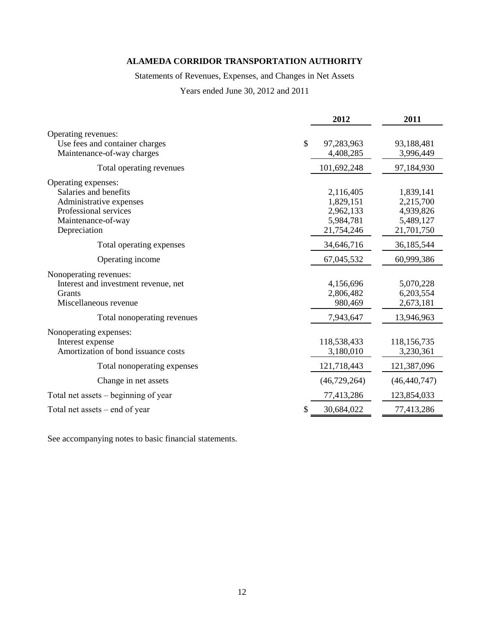## Statements of Revenues, Expenses, and Changes in Net Assets

Years ended June 30, 2012 and 2011

|                                                                                                                                        | 2012                                                           | 2011                                                           |
|----------------------------------------------------------------------------------------------------------------------------------------|----------------------------------------------------------------|----------------------------------------------------------------|
| Operating revenues:<br>Use fees and container charges<br>Maintenance-of-way charges                                                    | $\mathcal{S}$<br>97,283,963<br>4,408,285                       | 93,188,481<br>3,996,449                                        |
| Total operating revenues                                                                                                               | 101,692,248                                                    | 97,184,930                                                     |
| Operating expenses:<br>Salaries and benefits<br>Administrative expenses<br>Professional services<br>Maintenance-of-way<br>Depreciation | 2,116,405<br>1,829,151<br>2,962,133<br>5,984,781<br>21,754,246 | 1,839,141<br>2,215,700<br>4,939,826<br>5,489,127<br>21,701,750 |
| Total operating expenses                                                                                                               | 34,646,716                                                     | 36,185,544                                                     |
| Operating income                                                                                                                       | 67,045,532                                                     | 60,999,386                                                     |
| Nonoperating revenues:<br>Interest and investment revenue, net<br>Grants<br>Miscellaneous revenue                                      | 4,156,696<br>2,806,482<br>980,469                              | 5,070,228<br>6,203,554<br>2,673,181                            |
| Total nonoperating revenues                                                                                                            | 7,943,647                                                      | 13,946,963                                                     |
| Nonoperating expenses:<br>Interest expense<br>Amortization of bond issuance costs                                                      | 118,538,433<br>3,180,010                                       | 118,156,735<br>3,230,361                                       |
| Total nonoperating expenses                                                                                                            | 121,718,443                                                    | 121,387,096                                                    |
| Change in net assets                                                                                                                   | (46, 729, 264)                                                 | (46, 440, 747)                                                 |
| Total net assets – beginning of year                                                                                                   | 77,413,286                                                     | 123,854,033                                                    |
| Total net assets – end of year                                                                                                         | \$<br>30,684,022                                               | 77,413,286                                                     |

See accompanying notes to basic financial statements.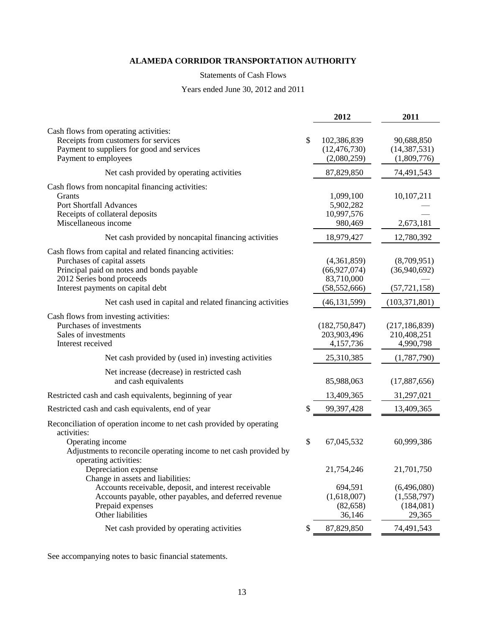Statements of Cash Flows

Years ended June 30, 2012 and 2011

|                                                                                                                                                                                                         |    | 2012                                                          | 2011                                              |
|---------------------------------------------------------------------------------------------------------------------------------------------------------------------------------------------------------|----|---------------------------------------------------------------|---------------------------------------------------|
| Cash flows from operating activities:<br>Receipts from customers for services<br>Payment to suppliers for good and services<br>Payment to employees                                                     | \$ | 102,386,839<br>(12, 476, 730)<br>(2,080,259)                  | 90,688,850<br>(14, 387, 531)<br>(1,809,776)       |
| Net cash provided by operating activities                                                                                                                                                               |    | 87,829,850                                                    | 74,491,543                                        |
| Cash flows from noncapital financing activities:<br>Grants<br><b>Port Shortfall Advances</b><br>Receipts of collateral deposits<br>Miscellaneous income                                                 |    | 1,099,100<br>5,902,282<br>10,997,576<br>980,469               | 10,107,211<br>2,673,181                           |
| Net cash provided by noncapital financing activities                                                                                                                                                    |    | 18,979,427                                                    | 12,780,392                                        |
| Cash flows from capital and related financing activities:<br>Purchases of capital assets<br>Principal paid on notes and bonds payable<br>2012 Series bond proceeds<br>Interest payments on capital debt |    | (4,361,859)<br>(66, 927, 074)<br>83,710,000<br>(58, 552, 666) | (8,709,951)<br>(36,940,692)<br>(57, 721, 158)     |
| Net cash used in capital and related financing activities                                                                                                                                               |    | (46, 131, 599)                                                | (103, 371, 801)                                   |
| Cash flows from investing activities:<br>Purchases of investments<br>Sales of investments<br>Interest received                                                                                          |    | (182, 750, 847)<br>203,903,496<br>4,157,736                   | (217, 186, 839)<br>210,408,251<br>4,990,798       |
| Net cash provided by (used in) investing activities                                                                                                                                                     |    | 25,310,385                                                    | (1,787,790)                                       |
| Net increase (decrease) in restricted cash<br>and cash equivalents                                                                                                                                      |    | 85,988,063                                                    | (17,887,656)                                      |
| Restricted cash and cash equivalents, beginning of year                                                                                                                                                 |    | 13,409,365                                                    | 31,297,021                                        |
| Restricted cash and cash equivalents, end of year                                                                                                                                                       | S  | 99,397,428                                                    | 13,409,365                                        |
| Reconciliation of operation income to net cash provided by operating<br>activities:<br>Operating income<br>Adjustments to reconcile operating income to net cash provided by                            | \$ | 67,045,532                                                    | 60,999,386                                        |
| operating activities:<br>Depreciation expense<br>Change in assets and liabilities:                                                                                                                      |    | 21,754,246                                                    | 21,701,750                                        |
| Accounts receivable, deposit, and interest receivable<br>Accounts payable, other payables, and deferred revenue<br>Prepaid expenses<br>Other liabilities                                                |    | 694,591<br>(1,618,007)<br>(82, 658)<br>36,146                 | (6,496,080)<br>(1,558,797)<br>(184,081)<br>29,365 |
| Net cash provided by operating activities                                                                                                                                                               | \$ | 87,829,850                                                    | 74,491,543                                        |

See accompanying notes to basic financial statements.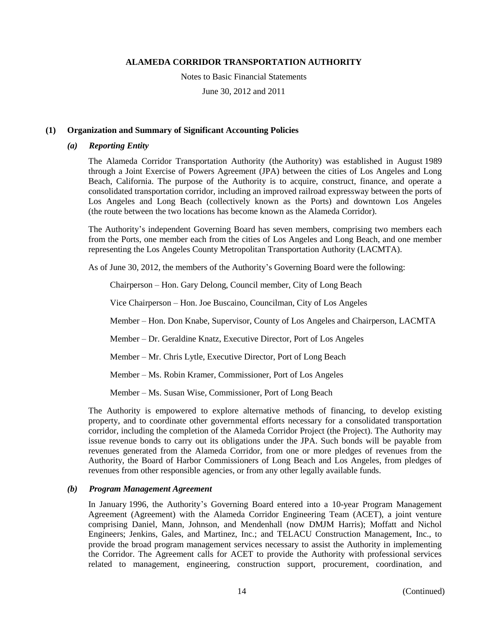Notes to Basic Financial Statements

June 30, 2012 and 2011

## **(1) Organization and Summary of Significant Accounting Policies**

### *(a) Reporting Entity*

The Alameda Corridor Transportation Authority (the Authority) was established in August 1989 through a Joint Exercise of Powers Agreement (JPA) between the cities of Los Angeles and Long Beach, California. The purpose of the Authority is to acquire, construct, finance, and operate a consolidated transportation corridor, including an improved railroad expressway between the ports of Los Angeles and Long Beach (collectively known as the Ports) and downtown Los Angeles (the route between the two locations has become known as the Alameda Corridor).

The Authority's independent Governing Board has seven members, comprising two members each from the Ports, one member each from the cities of Los Angeles and Long Beach, and one member representing the Los Angeles County Metropolitan Transportation Authority (LACMTA).

As of June 30, 2012, the members of the Authority's Governing Board were the following:

Chairperson – Hon. Gary Delong, Council member, City of Long Beach

Vice Chairperson – Hon. Joe Buscaino, Councilman, City of Los Angeles

Member – Hon. Don Knabe, Supervisor, County of Los Angeles and Chairperson, LACMTA

Member – Dr. Geraldine Knatz, Executive Director, Port of Los Angeles

Member – Mr. Chris Lytle, Executive Director, Port of Long Beach

Member – Ms. Robin Kramer, Commissioner, Port of Los Angeles

Member – Ms. Susan Wise, Commissioner, Port of Long Beach

The Authority is empowered to explore alternative methods of financing, to develop existing property, and to coordinate other governmental efforts necessary for a consolidated transportation corridor, including the completion of the Alameda Corridor Project (the Project). The Authority may issue revenue bonds to carry out its obligations under the JPA. Such bonds will be payable from revenues generated from the Alameda Corridor, from one or more pledges of revenues from the Authority, the Board of Harbor Commissioners of Long Beach and Los Angeles, from pledges of revenues from other responsible agencies, or from any other legally available funds.

#### *(b) Program Management Agreement*

In January 1996, the Authority's Governing Board entered into a 10-year Program Management Agreement (Agreement) with the Alameda Corridor Engineering Team (ACET), a joint venture comprising Daniel, Mann, Johnson, and Mendenhall (now DMJM Harris); Moffatt and Nichol Engineers; Jenkins, Gales, and Martinez, Inc.; and TELACU Construction Management, Inc., to provide the broad program management services necessary to assist the Authority in implementing the Corridor. The Agreement calls for ACET to provide the Authority with professional services related to management, engineering, construction support, procurement, coordination, and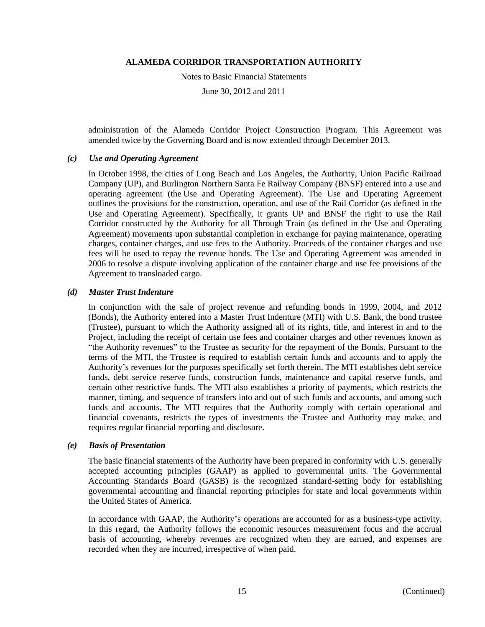Notes to Basic Financial Statements

June 30, 2012 and 2011

administration of the Alameda Corridor Project Construction Program. This Agreement was amended twice by the Governing Board and is now extended through December 2013.

#### *(c) Use and Operating Agreement*

In October 1998, the cities of Long Beach and Los Angeles, the Authority, Union Pacific Railroad Company (UP), and Burlington Northern Santa Fe Railway Company (BNSF) entered into a use and operating agreement (the Use and Operating Agreement). The Use and Operating Agreement outlines the provisions for the construction, operation, and use of the Rail Corridor (as defined in the Use and Operating Agreement). Specifically, it grants UP and BNSF the right to use the Rail Corridor constructed by the Authority for all Through Train (as defined in the Use and Operating Agreement) movements upon substantial completion in exchange for paying maintenance, operating charges, container charges, and use fees to the Authority. Proceeds of the container charges and use fees will be used to repay the revenue bonds. The Use and Operating Agreement was amended in 2006 to resolve a dispute involving application of the container charge and use fee provisions of the Agreement to transloaded cargo.

## *(d) Master Trust Indenture*

In conjunction with the sale of project revenue and refunding bonds in 1999, 2004, and 2012 (Bonds), the Authority entered into a Master Trust Indenture (MTI) with U.S. Bank, the bond trustee (Trustee), pursuant to which the Authority assigned all of its rights, title, and interest in and to the Project, including the receipt of certain use fees and container charges and other revenues known as "the Authority revenues" to the Trustee as security for the repayment of the Bonds. Pursuant to the terms of the MTI, the Trustee is required to establish certain funds and accounts and to apply the Authority's revenues for the purposes specifically set forth therein. The MTI establishes debt service funds, debt service reserve funds, construction funds, maintenance and capital reserve funds, and certain other restrictive funds. The MTI also establishes a priority of payments, which restricts the manner, timing, and sequence of transfers into and out of such funds and accounts, and among such funds and accounts. The MTI requires that the Authority comply with certain operational and financial covenants, restricts the types of investments the Trustee and Authority may make, and requires regular financial reporting and disclosure.

#### *(e) Basis of Presentation*

The basic financial statements of the Authority have been prepared in conformity with U.S. generally accepted accounting principles (GAAP) as applied to governmental units. The Governmental Accounting Standards Board (GASB) is the recognized standard-setting body for establishing governmental accounting and financial reporting principles for state and local governments within the United States of America.

In accordance with GAAP, the Authority's operations are accounted for as a business-type activity. In this regard, the Authority follows the economic resources measurement focus and the accrual basis of accounting, whereby revenues are recognized when they are earned, and expenses are recorded when they are incurred, irrespective of when paid.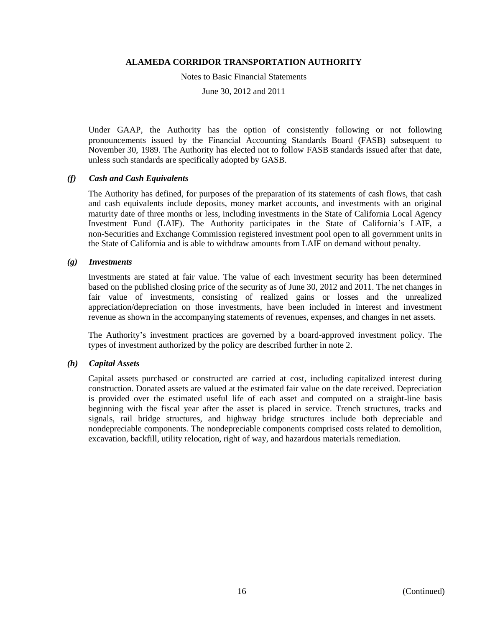Notes to Basic Financial Statements

June 30, 2012 and 2011

Under GAAP, the Authority has the option of consistently following or not following pronouncements issued by the Financial Accounting Standards Board (FASB) subsequent to November 30, 1989. The Authority has elected not to follow FASB standards issued after that date, unless such standards are specifically adopted by GASB.

## *(f) Cash and Cash Equivalents*

The Authority has defined, for purposes of the preparation of its statements of cash flows, that cash and cash equivalents include deposits, money market accounts, and investments with an original maturity date of three months or less, including investments in the State of California Local Agency Investment Fund (LAIF). The Authority participates in the State of California's LAIF, a non-Securities and Exchange Commission registered investment pool open to all government units in the State of California and is able to withdraw amounts from LAIF on demand without penalty.

#### *(g) Investments*

Investments are stated at fair value. The value of each investment security has been determined based on the published closing price of the security as of June 30, 2012 and 2011. The net changes in fair value of investments, consisting of realized gains or losses and the unrealized appreciation/depreciation on those investments, have been included in interest and investment revenue as shown in the accompanying statements of revenues, expenses, and changes in net assets.

The Authority's investment practices are governed by a board-approved investment policy. The types of investment authorized by the policy are described further in note 2.

## *(h) Capital Assets*

Capital assets purchased or constructed are carried at cost, including capitalized interest during construction. Donated assets are valued at the estimated fair value on the date received. Depreciation is provided over the estimated useful life of each asset and computed on a straight-line basis beginning with the fiscal year after the asset is placed in service. Trench structures, tracks and signals, rail bridge structures, and highway bridge structures include both depreciable and nondepreciable components. The nondepreciable components comprised costs related to demolition, excavation, backfill, utility relocation, right of way, and hazardous materials remediation.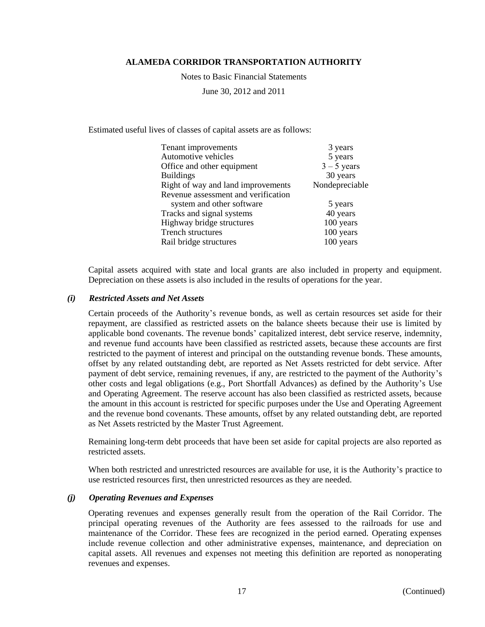Notes to Basic Financial Statements

June 30, 2012 and 2011

Estimated useful lives of classes of capital assets are as follows:

| Tenant improvements                 | 3 years        |
|-------------------------------------|----------------|
| Automotive vehicles                 | 5 years        |
| Office and other equipment          | $3 - 5$ years  |
| <b>Buildings</b>                    | 30 years       |
| Right of way and land improvements  | Nondepreciable |
| Revenue assessment and verification |                |
| system and other software           | 5 years        |
| Tracks and signal systems           | 40 years       |
| Highway bridge structures           | 100 years      |
| <b>Trench structures</b>            | 100 years      |
| Rail bridge structures              | 100 years      |

Capital assets acquired with state and local grants are also included in property and equipment. Depreciation on these assets is also included in the results of operations for the year.

#### *(i) Restricted Assets and Net Assets*

Certain proceeds of the Authority's revenue bonds, as well as certain resources set aside for their repayment, are classified as restricted assets on the balance sheets because their use is limited by applicable bond covenants. The revenue bonds' capitalized interest, debt service reserve, indemnity, and revenue fund accounts have been classified as restricted assets, because these accounts are first restricted to the payment of interest and principal on the outstanding revenue bonds. These amounts, offset by any related outstanding debt, are reported as Net Assets restricted for debt service. After payment of debt service, remaining revenues, if any, are restricted to the payment of the Authority's other costs and legal obligations (e.g., Port Shortfall Advances) as defined by the Authority's Use and Operating Agreement. The reserve account has also been classified as restricted assets, because the amount in this account is restricted for specific purposes under the Use and Operating Agreement and the revenue bond covenants. These amounts, offset by any related outstanding debt, are reported as Net Assets restricted by the Master Trust Agreement.

Remaining long-term debt proceeds that have been set aside for capital projects are also reported as restricted assets.

When both restricted and unrestricted resources are available for use, it is the Authority's practice to use restricted resources first, then unrestricted resources as they are needed.

#### *(j) Operating Revenues and Expenses*

Operating revenues and expenses generally result from the operation of the Rail Corridor. The principal operating revenues of the Authority are fees assessed to the railroads for use and maintenance of the Corridor. These fees are recognized in the period earned. Operating expenses include revenue collection and other administrative expenses, maintenance, and depreciation on capital assets. All revenues and expenses not meeting this definition are reported as nonoperating revenues and expenses.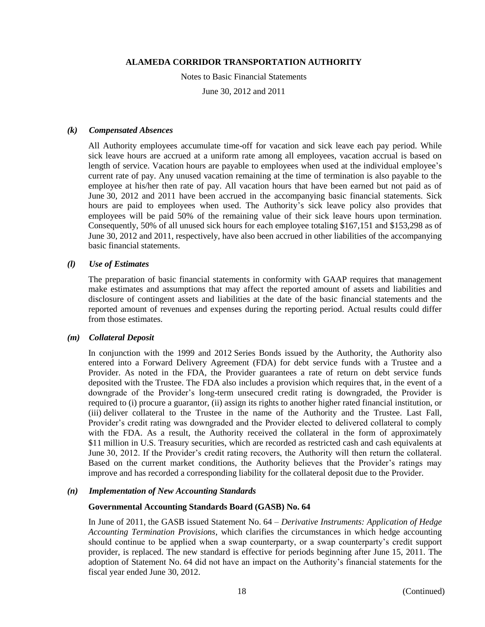Notes to Basic Financial Statements

June 30, 2012 and 2011

#### *(k) Compensated Absences*

All Authority employees accumulate time-off for vacation and sick leave each pay period. While sick leave hours are accrued at a uniform rate among all employees, vacation accrual is based on length of service. Vacation hours are payable to employees when used at the individual employee's current rate of pay. Any unused vacation remaining at the time of termination is also payable to the employee at his/her then rate of pay. All vacation hours that have been earned but not paid as of June 30, 2012 and 2011 have been accrued in the accompanying basic financial statements. Sick hours are paid to employees when used. The Authority's sick leave policy also provides that employees will be paid 50% of the remaining value of their sick leave hours upon termination. Consequently, 50% of all unused sick hours for each employee totaling \$167,151 and \$153,298 as of June 30, 2012 and 2011, respectively, have also been accrued in other liabilities of the accompanying basic financial statements.

## *(l) Use of Estimates*

The preparation of basic financial statements in conformity with GAAP requires that management make estimates and assumptions that may affect the reported amount of assets and liabilities and disclosure of contingent assets and liabilities at the date of the basic financial statements and the reported amount of revenues and expenses during the reporting period. Actual results could differ from those estimates.

#### *(m) Collateral Deposit*

In conjunction with the 1999 and 2012 Series Bonds issued by the Authority, the Authority also entered into a Forward Delivery Agreement (FDA) for debt service funds with a Trustee and a Provider. As noted in the FDA, the Provider guarantees a rate of return on debt service funds deposited with the Trustee. The FDA also includes a provision which requires that, in the event of a downgrade of the Provider's long-term unsecured credit rating is downgraded, the Provider is required to (i) procure a guarantor, (ii) assign its rights to another higher rated financial institution, or (iii) deliver collateral to the Trustee in the name of the Authority and the Trustee. Last Fall, Provider's credit rating was downgraded and the Provider elected to delivered collateral to comply with the FDA. As a result, the Authority received the collateral in the form of approximately \$11 million in U.S. Treasury securities, which are recorded as restricted cash and cash equivalents at June 30, 2012. If the Provider's credit rating recovers, the Authority will then return the collateral. Based on the current market conditions, the Authority believes that the Provider's ratings may improve and has recorded a corresponding liability for the collateral deposit due to the Provider.

#### *(n) Implementation of New Accounting Standards*

#### **Governmental Accounting Standards Board (GASB) No. 64**

In June of 2011, the GASB issued Statement No. 64 – *Derivative Instruments: Application of Hedge Accounting Termination Provisions*, which clarifies the circumstances in which hedge accounting should continue to be applied when a swap counterparty, or a swap counterparty's credit support provider, is replaced. The new standard is effective for periods beginning after June 15, 2011. The adoption of Statement No. 64 did not have an impact on the Authority's financial statements for the fiscal year ended June 30, 2012.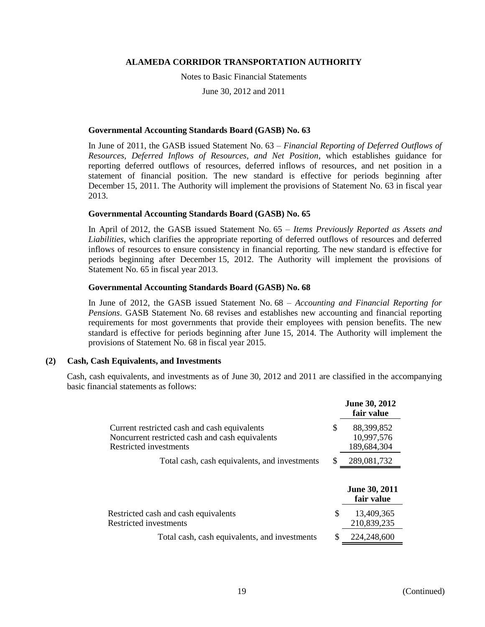Notes to Basic Financial Statements

June 30, 2012 and 2011

## **Governmental Accounting Standards Board (GASB) No. 63**

In June of 2011, the GASB issued Statement No. 63 – *Financial Reporting of Deferred Outflows of Resources, Deferred Inflows of Resources, and Net Position*, which establishes guidance for reporting deferred outflows of resources, deferred inflows of resources, and net position in a statement of financial position. The new standard is effective for periods beginning after December 15, 2011. The Authority will implement the provisions of Statement No. 63 in fiscal year 2013.

## **Governmental Accounting Standards Board (GASB) No. 65**

In April of 2012, the GASB issued Statement No. 65 – *Items Previously Reported as Assets and Liabilities*, which clarifies the appropriate reporting of deferred outflows of resources and deferred inflows of resources to ensure consistency in financial reporting. The new standard is effective for periods beginning after December 15, 2012. The Authority will implement the provisions of Statement No. 65 in fiscal year 2013.

## **Governmental Accounting Standards Board (GASB) No. 68**

In June of 2012, the GASB issued Statement No. 68 – *Accounting and Financial Reporting for Pensions*. GASB Statement No. 68 revises and establishes new accounting and financial reporting requirements for most governments that provide their employees with pension benefits. The new standard is effective for periods beginning after June 15, 2014. The Authority will implement the provisions of Statement No. 68 in fiscal year 2015.

## **(2) Cash, Cash Equivalents, and Investments**

Cash, cash equivalents, and investments as of June 30, 2012 and 2011 are classified in the accompanying basic financial statements as follows:

|                                                                                                                           |    | June 30, 2012<br>fair value             |
|---------------------------------------------------------------------------------------------------------------------------|----|-----------------------------------------|
| Current restricted cash and cash equivalents<br>Noncurrent restricted cash and cash equivalents<br>Restricted investments | S  | 88,399,852<br>10,997,576<br>189,684,304 |
| Total cash, cash equivalents, and investments                                                                             | S  | 289,081,732                             |
|                                                                                                                           |    | June 30, 2011<br>fair value             |
| Restricted cash and cash equivalents<br><b>Restricted investments</b>                                                     | \$ | 13,409,365<br>210,839,235               |
| Total cash, cash equivalents, and investments                                                                             | \$ | 224,248,600                             |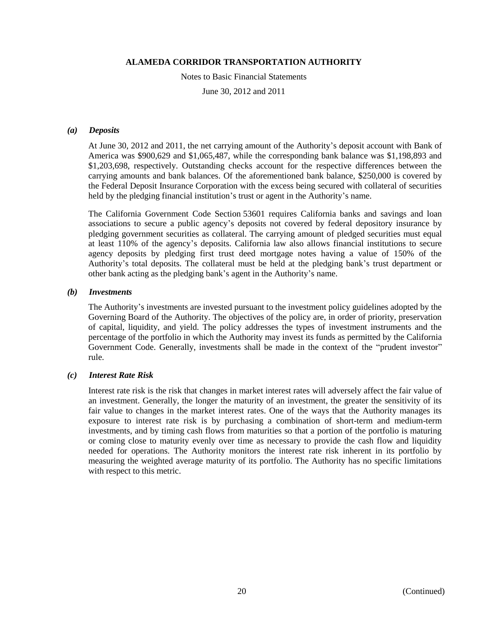Notes to Basic Financial Statements

June 30, 2012 and 2011

## *(a) Deposits*

At June 30, 2012 and 2011, the net carrying amount of the Authority's deposit account with Bank of America was \$900,629 and \$1,065,487, while the corresponding bank balance was \$1,198,893 and \$1,203,698, respectively. Outstanding checks account for the respective differences between the carrying amounts and bank balances. Of the aforementioned bank balance, \$250,000 is covered by the Federal Deposit Insurance Corporation with the excess being secured with collateral of securities held by the pledging financial institution's trust or agent in the Authority's name.

The California Government Code Section 53601 requires California banks and savings and loan associations to secure a public agency's deposits not covered by federal depository insurance by pledging government securities as collateral. The carrying amount of pledged securities must equal at least 110% of the agency's deposits. California law also allows financial institutions to secure agency deposits by pledging first trust deed mortgage notes having a value of 150% of the Authority's total deposits. The collateral must be held at the pledging bank's trust department or other bank acting as the pledging bank's agent in the Authority's name.

## *(b) Investments*

The Authority's investments are invested pursuant to the investment policy guidelines adopted by the Governing Board of the Authority. The objectives of the policy are, in order of priority, preservation of capital, liquidity, and yield. The policy addresses the types of investment instruments and the percentage of the portfolio in which the Authority may invest its funds as permitted by the California Government Code. Generally, investments shall be made in the context of the "prudent investor" rule.

#### *(c) Interest Rate Risk*

Interest rate risk is the risk that changes in market interest rates will adversely affect the fair value of an investment. Generally, the longer the maturity of an investment, the greater the sensitivity of its fair value to changes in the market interest rates. One of the ways that the Authority manages its exposure to interest rate risk is by purchasing a combination of short-term and medium-term investments, and by timing cash flows from maturities so that a portion of the portfolio is maturing or coming close to maturity evenly over time as necessary to provide the cash flow and liquidity needed for operations. The Authority monitors the interest rate risk inherent in its portfolio by measuring the weighted average maturity of its portfolio. The Authority has no specific limitations with respect to this metric.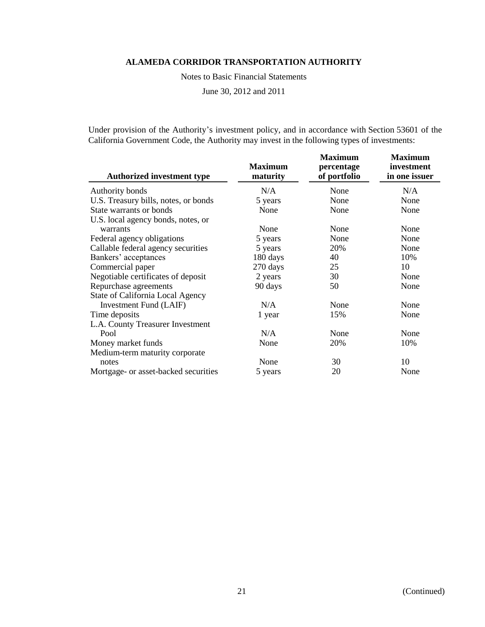Notes to Basic Financial Statements

June 30, 2012 and 2011

Under provision of the Authority's investment policy, and in accordance with Section 53601 of the California Government Code, the Authority may invest in the following types of investments:

| <b>Authorized investment type</b>    | <b>Maximum</b><br>maturity | <b>Maximum</b><br>percentage<br>of portfolio | <b>Maximum</b><br>investment<br>in one issuer |
|--------------------------------------|----------------------------|----------------------------------------------|-----------------------------------------------|
| Authority bonds                      | N/A                        | None                                         | N/A                                           |
| U.S. Treasury bills, notes, or bonds | 5 years                    | None                                         | None                                          |
| State warrants or bonds              | None                       | None                                         | None                                          |
| U.S. local agency bonds, notes, or   |                            |                                              |                                               |
| warrants                             | None                       | None                                         | None                                          |
| Federal agency obligations           | 5 years                    | None                                         | None                                          |
| Callable federal agency securities   | 5 years                    | 20%                                          | None                                          |
| Bankers' acceptances                 | 180 days                   | 40                                           | 10%                                           |
| Commercial paper                     | 270 days                   | 25                                           | 10                                            |
| Negotiable certificates of deposit   | 2 years                    | 30                                           | None                                          |
| Repurchase agreements                | 90 days                    | 50                                           | None                                          |
| State of California Local Agency     |                            |                                              |                                               |
| Investment Fund (LAIF)               | N/A                        | None                                         | None                                          |
| Time deposits                        | 1 year                     | 15%                                          | None                                          |
| L.A. County Treasurer Investment     |                            |                                              |                                               |
| Pool                                 | N/A                        | None                                         | None                                          |
| Money market funds                   | None                       | 20%                                          | 10%                                           |
| Medium-term maturity corporate       |                            |                                              |                                               |
| notes                                | None                       | 30                                           | 10                                            |
| Mortgage- or asset-backed securities | 5 years                    | 20                                           | None                                          |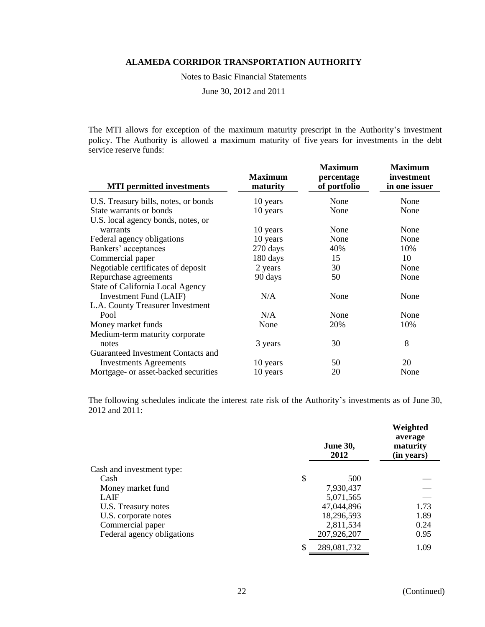Notes to Basic Financial Statements

June 30, 2012 and 2011

The MTI allows for exception of the maximum maturity prescript in the Authority's investment policy. The Authority is allowed a maximum maturity of five years for investments in the debt service reserve funds:

| <b>MTI</b> permitted investments     | <b>Maximum</b><br>maturity | <b>Maximum</b><br>percentage<br>of portfolio | <b>Maximum</b><br>investment<br>in one issuer |
|--------------------------------------|----------------------------|----------------------------------------------|-----------------------------------------------|
| U.S. Treasury bills, notes, or bonds | 10 years                   | None                                         | None                                          |
| State warrants or bonds              | 10 years                   | None                                         | None                                          |
| U.S. local agency bonds, notes, or   |                            |                                              |                                               |
| warrants                             | 10 years                   | None                                         | None                                          |
| Federal agency obligations           | 10 years                   | None                                         | None                                          |
| Bankers' acceptances                 | 270 days                   | 40%                                          | 10%                                           |
| Commercial paper                     | 180 days                   | 15                                           | 10                                            |
| Negotiable certificates of deposit   | 2 years                    | 30                                           | None                                          |
| Repurchase agreements                | 90 days                    | 50                                           | None                                          |
| State of California Local Agency     |                            |                                              |                                               |
| Investment Fund (LAIF)               | N/A                        | None                                         | None                                          |
| L.A. County Treasurer Investment     |                            |                                              |                                               |
| Pool                                 | N/A                        | None                                         | None                                          |
| Money market funds                   | None                       | 20%                                          | 10%                                           |
| Medium-term maturity corporate       |                            |                                              |                                               |
| notes                                | 3 years                    | 30                                           | 8                                             |
| Guaranteed Investment Contacts and   |                            |                                              |                                               |
| <b>Investments Agreements</b>        | 10 years                   | 50                                           | 20                                            |
| Mortgage- or asset-backed securities | 10 years                   | 20                                           | None                                          |

The following schedules indicate the interest rate risk of the Authority's investments as of June 30, 2012 and 2011:

|                            | <b>June 30,</b><br>2012 | Weighted<br>average<br>maturity<br>(in years) |
|----------------------------|-------------------------|-----------------------------------------------|
| Cash and investment type:  |                         |                                               |
| Cash                       | \$<br>500               |                                               |
| Money market fund          | 7,930,437               |                                               |
| LAIF                       | 5,071,565               |                                               |
| U.S. Treasury notes        | 47,044,896              | 1.73                                          |
| U.S. corporate notes       | 18,296,593              | 1.89                                          |
| Commercial paper           | 2,811,534               | 0.24                                          |
| Federal agency obligations | 207,926,207             | 0.95                                          |
|                            | \$<br>289,081,732       | 1.09                                          |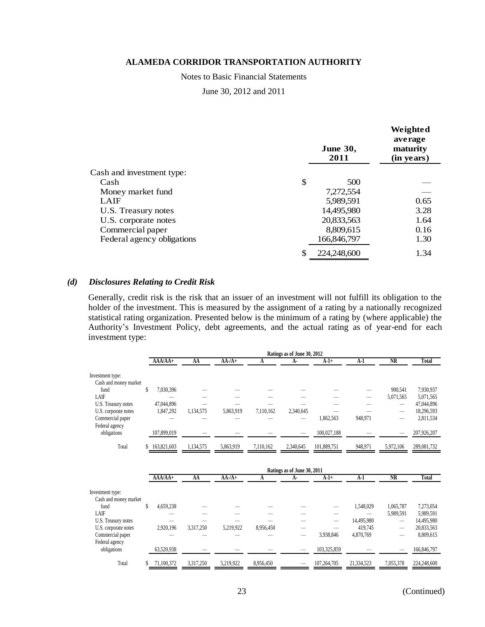Notes to Basic Financial Statements

June 30, 2012 and 2011

|                            |     | <b>June 30,</b><br>2011 | Weighted<br>average<br>maturity<br>(in years) |
|----------------------------|-----|-------------------------|-----------------------------------------------|
| Cash and investment type:  |     |                         |                                               |
| Cash                       | \$  | 500                     |                                               |
| Money market fund          |     | 7,272,554               |                                               |
| LAIF                       |     | 5,989,591               | 0.65                                          |
| U.S. Treasury notes        |     | 14,495,980              | 3.28                                          |
| U.S. corporate notes       |     | 20,833,563              | 1.64                                          |
| Commercial paper           |     | 8,809,615               | 0.16                                          |
| Federal agency obligations |     | 166,846,797             | 1.30                                          |
|                            | \$. | 224,248,600             | 1.34                                          |

#### *(d) Disclosures Relating to Credit Risk*

Generally, credit risk is the risk that an issuer of an investment will not fulfill its obligation to the holder of the investment. This is measured by the assignment of a rating by a nationally recognized statistical rating organization. Presented below is the minimum of a rating by (where applicable) the Authority's Investment Policy, debt agreements, and the actual rating as of year-end for each investment type:

|                                           |   | Ratings as of June 30, 2012 |           |               |           |           |             |         |                                 |             |  |
|-------------------------------------------|---|-----------------------------|-----------|---------------|-----------|-----------|-------------|---------|---------------------------------|-------------|--|
|                                           |   | $AA/AA+$                    | AA        | $AA$ - $/A$ + |           | А-        | A-1+        | A-1     | <b>NR</b>                       | Total       |  |
| Investment type:<br>Cash and money market |   |                             |           |               |           |           |             |         |                                 |             |  |
| fund                                      | J | 7,030,396                   |           |               |           |           |             |         | 900.541                         | 7,930,937   |  |
| LAIF                                      |   |                             |           |               |           |           |             | -       | 5,071,565                       | 5,071,565   |  |
| U.S. Treasury notes                       |   | 47,044,896                  |           |               |           |           |             |         | $\hspace{0.1mm}-\hspace{0.1mm}$ | 47,044,896  |  |
| U.S. corporate notes                      |   | 1,847,292                   | 1,134,575 | 5,863,919     | 7,110,162 | 2,340,645 |             |         |                                 | 18,296,593  |  |
| Commercial paper                          |   |                             |           |               |           |           | 1,862,563   | 948,971 | -                               | 2,811,534   |  |
| Federal agency<br>obligations             |   | 107,899,019                 |           |               |           |           | 100,027,188 |         |                                 | 207,926,207 |  |
| Total                                     |   | 163,821,603                 | 1,134,575 | 5,863,919     | 7,110,162 | 2,340,645 | 101,889,751 | 948,971 | 5.972.106                       | 289,081,732 |  |

|                                           | Ratings as of June 30, 2011 |           |              |           |    |             |            |                 |             |  |
|-------------------------------------------|-----------------------------|-----------|--------------|-----------|----|-------------|------------|-----------------|-------------|--|
|                                           | $AA/AA+$                    | AA        | $AA$ -/ $A+$ | А         | А- | $A-1+$      | A-1        | NR              | Total       |  |
| Investment type:<br>Cash and money market |                             |           |              |           |    |             |            |                 |             |  |
| fund                                      | 4,659,238                   |           |              |           |    |             | 1,548,029  | 1,065,787       | 7,273,054   |  |
| LAIF                                      |                             |           |              |           |    |             |            | 5,989,591       | 5,989,591   |  |
| U.S. Treasury notes                       |                             |           |              |           |    | —           | 14,495,980 |                 | 14,495,980  |  |
| U.S. corporate notes                      | 2,920,196                   | 3,317,250 | 5,219,922    | 8,956,450 |    |             | 419.745    | $\qquad \qquad$ | 20,833,563  |  |
| Commercial paper<br>Federal agency        |                             |           |              |           |    | 3,938,846   | 4,870,769  | –               | 8,809,615   |  |
| obligations                               | 63,520,938                  |           |              |           |    | 103,325,859 |            |                 | 166,846,797 |  |
| Total                                     | 71,100,372                  | 3,317,250 | 5,219,922    | 8,956,450 |    | 107,264,705 | 21,334,523 | 7,055,378       | 224,248,600 |  |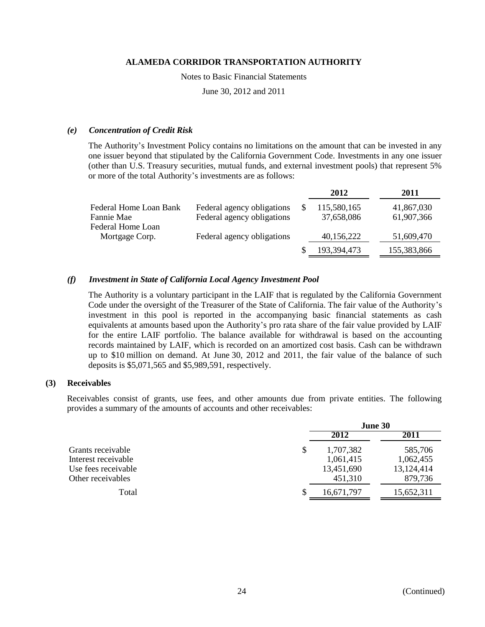Notes to Basic Financial Statements

June 30, 2012 and 2011

### *(e) Concentration of Credit Risk*

The Authority's Investment Policy contains no limitations on the amount that can be invested in any one issuer beyond that stipulated by the California Government Code. Investments in any one issuer (other than U.S. Treasury securities, mutual funds, and external investment pools) that represent 5% or more of the total Authority's investments are as follows:

|                                 |                            | 2012        | 2011        |
|---------------------------------|----------------------------|-------------|-------------|
| Federal Home Loan Bank          | Federal agency obligations | 115,580,165 | 41,867,030  |
| Fannie Mae<br>Federal Home Loan | Federal agency obligations | 37,658,086  | 61,907,366  |
| Mortgage Corp.                  | Federal agency obligations | 40,156,222  | 51,609,470  |
|                                 |                            | 193,394,473 | 155,383,866 |

## *(f) Investment in State of California Local Agency Investment Pool*

The Authority is a voluntary participant in the LAIF that is regulated by the California Government Code under the oversight of the Treasurer of the State of California. The fair value of the Authority's investment in this pool is reported in the accompanying basic financial statements as cash equivalents at amounts based upon the Authority's pro rata share of the fair value provided by LAIF for the entire LAIF portfolio. The balance available for withdrawal is based on the accounting records maintained by LAIF, which is recorded on an amortized cost basis. Cash can be withdrawn up to \$10 million on demand. At June 30, 2012 and 2011, the fair value of the balance of such deposits is \$5,071,565 and \$5,989,591, respectively.

## **(3) Receivables**

Receivables consist of grants, use fees, and other amounts due from private entities. The following provides a summary of the amounts of accounts and other receivables:

| June 30    |            |  |  |
|------------|------------|--|--|
| 2012       | 2011       |  |  |
| 1,707,382  | 585,706    |  |  |
| 1,061,415  | 1,062,455  |  |  |
| 13,451,690 | 13,124,414 |  |  |
| 451,310    | 879,736    |  |  |
| 16,671,797 | 15,652,311 |  |  |
|            |            |  |  |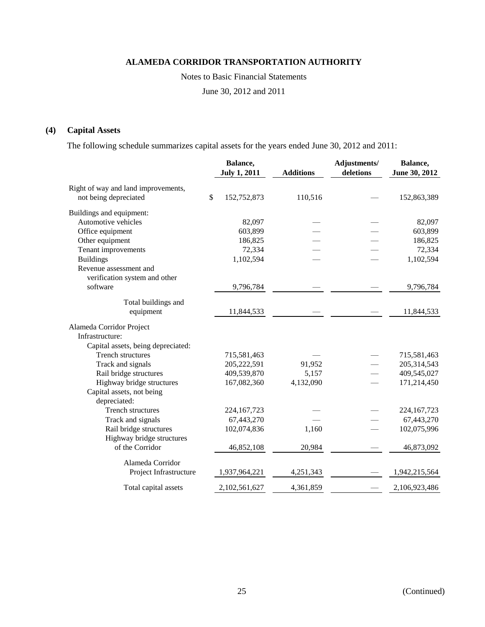Notes to Basic Financial Statements

June 30, 2012 and 2011

## **(4) Capital Assets**

The following schedule summarizes capital assets for the years ended June 30, 2012 and 2011:

|                                     | Balance,<br><b>July 1, 2011</b> | <b>Additions</b> | Adjustments/<br>deletions | Balance,<br>June 30, 2012 |
|-------------------------------------|---------------------------------|------------------|---------------------------|---------------------------|
| Right of way and land improvements, |                                 |                  |                           |                           |
| not being depreciated               | \$<br>152,752,873               | 110,516          |                           | 152,863,389               |
| Buildings and equipment:            |                                 |                  |                           |                           |
| Automotive vehicles                 | 82,097                          |                  |                           | 82,097                    |
| Office equipment                    | 603,899                         |                  |                           | 603,899                   |
| Other equipment                     | 186,825                         |                  |                           | 186,825                   |
| Tenant improvements                 | 72,334                          |                  |                           | 72,334                    |
| <b>Buildings</b>                    | 1,102,594                       |                  |                           | 1,102,594                 |
| Revenue assessment and              |                                 |                  |                           |                           |
| verification system and other       |                                 |                  |                           |                           |
| software                            | 9,796,784                       |                  |                           | 9,796,784                 |
| Total buildings and                 |                                 |                  |                           |                           |
| equipment                           | 11,844,533                      |                  |                           | 11,844,533                |
| Alameda Corridor Project            |                                 |                  |                           |                           |
| Infrastructure:                     |                                 |                  |                           |                           |
| Capital assets, being depreciated:  |                                 |                  |                           |                           |
| Trench structures                   | 715,581,463                     |                  |                           | 715,581,463               |
| Track and signals                   | 205,222,591                     | 91,952           |                           | 205,314,543               |
| Rail bridge structures              | 409,539,870                     | 5,157            |                           | 409,545,027               |
| Highway bridge structures           | 167,082,360                     | 4,132,090        |                           | 171,214,450               |
| Capital assets, not being           |                                 |                  |                           |                           |
| depreciated:                        |                                 |                  |                           |                           |
| Trench structures                   | 224, 167, 723                   |                  |                           | 224, 167, 723             |
| Track and signals                   | 67,443,270                      |                  |                           | 67,443,270                |
| Rail bridge structures              | 102,074,836                     | 1,160            |                           | 102,075,996               |
| Highway bridge structures           |                                 |                  |                           |                           |
| of the Corridor                     | 46,852,108                      | 20,984           |                           | 46,873,092                |
| Alameda Corridor                    |                                 |                  |                           |                           |
| Project Infrastructure              | 1,937,964,221                   | 4,251,343        |                           | 1,942,215,564             |
| Total capital assets                | 2,102,561,627                   | 4,361,859        |                           | 2,106,923,486             |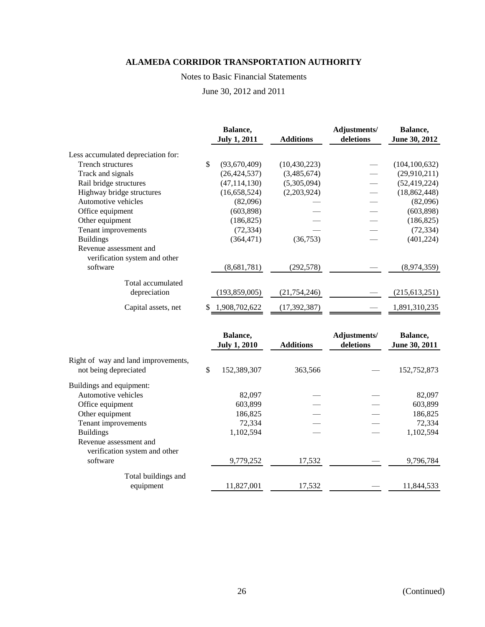## Notes to Basic Financial Statements

June 30, 2012 and 2011

|                                     |               | Balance,<br><b>July 1, 2011</b> | <b>Additions</b> | Adjustments/<br>deletions | Balance,<br>June 30, 2012 |
|-------------------------------------|---------------|---------------------------------|------------------|---------------------------|---------------------------|
| Less accumulated depreciation for:  |               |                                 |                  |                           |                           |
| Trench structures                   | $\mathcal{S}$ | (93,670,409)                    | (10, 430, 223)   |                           | (104, 100, 632)           |
| Track and signals                   |               | (26, 424, 537)                  | (3,485,674)      |                           | (29,910,211)              |
| Rail bridge structures              |               | (47, 114, 130)                  | (5,305,094)      |                           | (52, 419, 224)            |
| Highway bridge structures           |               | (16, 658, 524)                  | (2,203,924)      |                           | (18, 862, 448)            |
| Automotive vehicles                 |               | (82,096)                        |                  |                           | (82,096)                  |
| Office equipment                    |               | (603, 898)                      |                  |                           | (603, 898)                |
| Other equipment                     |               | (186, 825)                      |                  |                           | (186, 825)                |
| Tenant improvements                 |               | (72, 334)                       |                  |                           | (72, 334)                 |
| <b>Buildings</b>                    |               | (364, 471)                      | (36,753)         |                           | (401, 224)                |
| Revenue assessment and              |               |                                 |                  |                           |                           |
| verification system and other       |               |                                 |                  |                           |                           |
| software                            |               | (8,681,781)                     | (292, 578)       |                           | (8,974,359)               |
| Total accumulated                   |               |                                 |                  |                           |                           |
| depreciation                        |               | (193,859,005)                   | (21, 754, 246)   |                           | (215, 613, 251)           |
|                                     |               |                                 |                  |                           |                           |
| Capital assets, net                 |               | \$1,908,702,622                 | (17, 392, 387)   |                           | 1,891,310,235             |
|                                     |               |                                 |                  |                           |                           |
|                                     |               | Balance,                        |                  | Adjustments/              | Balance,                  |
|                                     |               | <b>July 1, 2010</b>             | <b>Additions</b> | deletions                 | June 30, 2011             |
| Right of way and land improvements, |               |                                 |                  |                           |                           |
| not being depreciated               | \$            | 152,389,307                     | 363,566          |                           | 152,752,873               |
| Buildings and equipment:            |               |                                 |                  |                           |                           |
| Automotive vehicles                 |               | 82,097                          |                  |                           | 82,097                    |
| Office equipment                    |               | 603,899                         |                  |                           | 603,899                   |
| Other equipment                     |               | 186,825                         |                  |                           | 186,825                   |
| Tenant improvements                 |               | 72,334                          |                  |                           | 72,334                    |
| <b>Buildings</b>                    |               | 1,102,594                       |                  |                           | 1,102,594                 |
| Revenue assessment and              |               |                                 |                  |                           |                           |
| verification system and other       |               |                                 |                  |                           |                           |
| software                            |               | 9,779,252                       | 17,532           |                           | 9,796,784                 |
| Total buildings and                 |               |                                 |                  |                           |                           |
| equipment                           |               | 11,827,001                      | 17,532           |                           | 11,844,533                |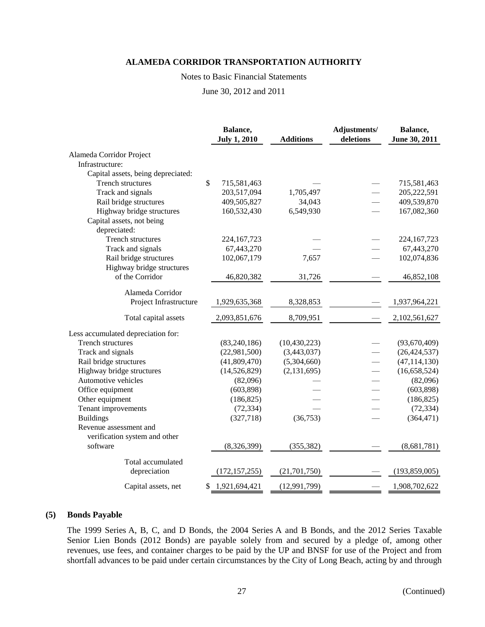## Notes to Basic Financial Statements

June 30, 2012 and 2011

|                                    | Balance,<br><b>July 1, 2010</b> | <b>Additions</b> | Adjustments/<br>deletions | Balance,<br>June 30, 2011 |
|------------------------------------|---------------------------------|------------------|---------------------------|---------------------------|
| Alameda Corridor Project           |                                 |                  |                           |                           |
| Infrastructure:                    |                                 |                  |                           |                           |
| Capital assets, being depreciated: |                                 |                  |                           |                           |
| <b>Trench structures</b>           | \$<br>715,581,463               |                  |                           | 715,581,463               |
| Track and signals                  | 203,517,094                     | 1,705,497        |                           | 205,222,591               |
| Rail bridge structures             | 409,505,827                     | 34,043           |                           | 409,539,870               |
| Highway bridge structures          | 160,532,430                     | 6,549,930        |                           | 167,082,360               |
| Capital assets, not being          |                                 |                  |                           |                           |
| depreciated:                       |                                 |                  |                           |                           |
| Trench structures                  | 224, 167, 723                   |                  |                           | 224, 167, 723             |
| Track and signals                  | 67,443,270                      |                  |                           | 67,443,270                |
| Rail bridge structures             | 102,067,179                     | 7,657            |                           | 102,074,836               |
| Highway bridge structures          |                                 |                  |                           |                           |
| of the Corridor                    | 46,820,382                      | 31,726           |                           | 46,852,108                |
| Alameda Corridor                   |                                 |                  |                           |                           |
| Project Infrastructure             | 1,929,635,368                   | 8,328,853        |                           | 1,937,964,221             |
| Total capital assets               | 2,093,851,676                   | 8,709,951        |                           | 2,102,561,627             |
| Less accumulated depreciation for: |                                 |                  |                           |                           |
| Trench structures                  | (83, 240, 186)                  | (10, 430, 223)   |                           | (93,670,409)              |
| Track and signals                  | (22,981,500)                    | (3,443,037)      |                           | (26, 424, 537)            |
| Rail bridge structures             | (41,809,470)                    | (5,304,660)      | $\overline{\phantom{0}}$  | (47, 114, 130)            |
| Highway bridge structures          | (14, 526, 829)                  | (2, 131, 695)    | $\overline{\phantom{0}}$  | (16, 658, 524)            |
| Automotive vehicles                | (82,096)                        |                  |                           | (82,096)                  |
| Office equipment                   | (603, 898)                      |                  |                           | (603, 898)                |
| Other equipment                    | (186, 825)                      |                  |                           | (186, 825)                |
| Tenant improvements                | (72, 334)                       |                  |                           | (72, 334)                 |
| <b>Buildings</b>                   | (327,718)                       | (36,753)         |                           | (364, 471)                |
| Revenue assessment and             |                                 |                  |                           |                           |
| verification system and other      |                                 |                  |                           |                           |
| software                           | (8,326,399)                     | (355, 382)       |                           | (8,681,781)               |
| Total accumulated                  |                                 |                  |                           |                           |
| depreciation                       | (172, 157, 255)                 | (21, 701, 750)   |                           | (193, 859, 005)           |
| Capital assets, net                | \$<br>1,921,694,421             | (12, 991, 799)   |                           | 1,908,702,622             |

## **(5) Bonds Payable**

The 1999 Series A, B, C, and D Bonds, the 2004 Series A and B Bonds, and the 2012 Series Taxable Senior Lien Bonds (2012 Bonds) are payable solely from and secured by a pledge of, among other revenues, use fees, and container charges to be paid by the UP and BNSF for use of the Project and from shortfall advances to be paid under certain circumstances by the City of Long Beach, acting by and through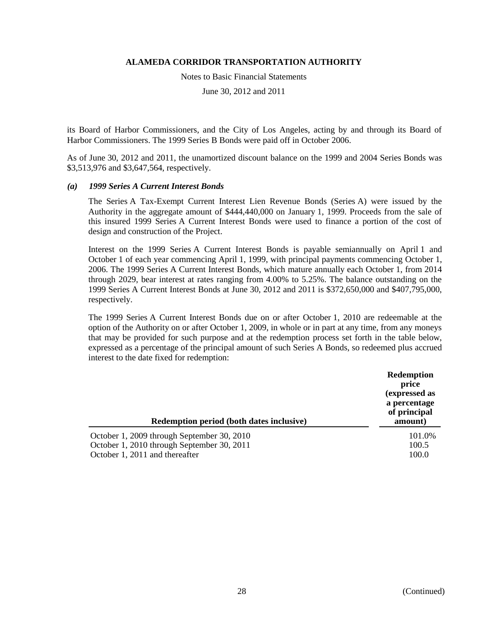Notes to Basic Financial Statements

June 30, 2012 and 2011

its Board of Harbor Commissioners, and the City of Los Angeles, acting by and through its Board of Harbor Commissioners. The 1999 Series B Bonds were paid off in October 2006.

As of June 30, 2012 and 2011, the unamortized discount balance on the 1999 and 2004 Series Bonds was \$3,513,976 and \$3,647,564, respectively.

#### *(a) 1999 Series A Current Interest Bonds*

The Series A Tax-Exempt Current Interest Lien Revenue Bonds (Series A) were issued by the Authority in the aggregate amount of \$444,440,000 on January 1, 1999. Proceeds from the sale of this insured 1999 Series A Current Interest Bonds were used to finance a portion of the cost of design and construction of the Project.

Interest on the 1999 Series A Current Interest Bonds is payable semiannually on April 1 and October 1 of each year commencing April 1, 1999, with principal payments commencing October 1, 2006. The 1999 Series A Current Interest Bonds, which mature annually each October 1, from 2014 through 2029, bear interest at rates ranging from 4.00% to 5.25%. The balance outstanding on the 1999 Series A Current Interest Bonds at June 30, 2012 and 2011 is \$372,650,000 and \$407,795,000, respectively.

The 1999 Series A Current Interest Bonds due on or after October 1, 2010 are redeemable at the option of the Authority on or after October 1, 2009, in whole or in part at any time, from any moneys that may be provided for such purpose and at the redemption process set forth in the table below, expressed as a percentage of the principal amount of such Series A Bonds, so redeemed plus accrued interest to the date fixed for redemption:

| Redemption period (both dates inclusive)   | <b>Redemption</b><br>price<br>(expressed as<br>a percentage<br>of principal<br>amount) |
|--------------------------------------------|----------------------------------------------------------------------------------------|
| October 1, 2009 through September 30, 2010 | 101.0%                                                                                 |
| October 1, 2010 through September 30, 2011 | 100.5                                                                                  |
| October 1, 2011 and thereafter             | 100.0                                                                                  |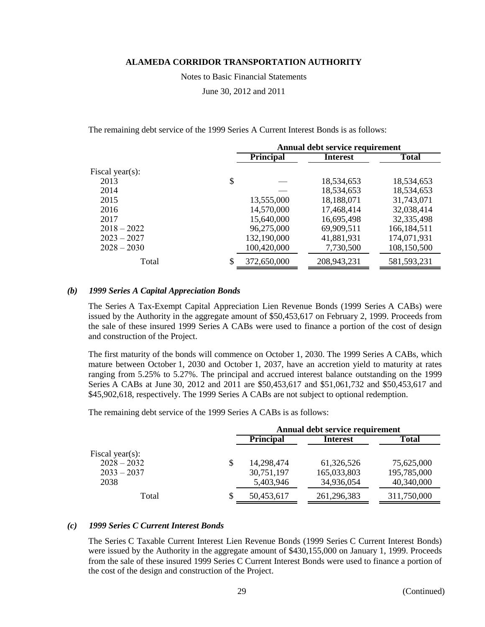Notes to Basic Financial Statements

June 30, 2012 and 2011

The remaining debt service of the 1999 Series A Current Interest Bonds is as follows:

|                 | Annual debt service requirement |                 |               |  |  |  |
|-----------------|---------------------------------|-----------------|---------------|--|--|--|
|                 | <b>Principal</b>                | <b>Interest</b> | <b>Total</b>  |  |  |  |
| Fiscal year(s): |                                 |                 |               |  |  |  |
| 2013            | \$                              | 18,534,653      | 18,534,653    |  |  |  |
| 2014            |                                 | 18,534,653      | 18,534,653    |  |  |  |
| 2015            | 13,555,000                      | 18,188,071      | 31,743,071    |  |  |  |
| 2016            | 14,570,000                      | 17,468,414      | 32,038,414    |  |  |  |
| 2017            | 15,640,000                      | 16,695,498      | 32,335,498    |  |  |  |
| $2018 - 2022$   | 96,275,000                      | 69,909,511      | 166,184,511   |  |  |  |
| $2023 - 2027$   | 132,190,000                     | 41,881,931      | 174,071,931   |  |  |  |
| $2028 - 2030$   | 100,420,000                     | 7,730,500       | 108,150,500   |  |  |  |
| Total           | \$<br>372,650,000               | 208,943,231     | 581, 593, 231 |  |  |  |

#### *(b) 1999 Series A Capital Appreciation Bonds*

The Series A Tax-Exempt Capital Appreciation Lien Revenue Bonds (1999 Series A CABs) were issued by the Authority in the aggregate amount of \$50,453,617 on February 2, 1999. Proceeds from the sale of these insured 1999 Series A CABs were used to finance a portion of the cost of design and construction of the Project.

The first maturity of the bonds will commence on October 1, 2030. The 1999 Series A CABs, which mature between October 1, 2030 and October 1, 2037, have an accretion yield to maturity at rates ranging from 5.25% to 5.27%. The principal and accrued interest balance outstanding on the 1999 Series A CABs at June 30, 2012 and 2011 are \$50,453,617 and \$51,061,732 and \$50,453,617 and \$45,902,618, respectively. The 1999 Series A CABs are not subject to optional redemption.

The remaining debt service of the 1999 Series A CABs is as follows:

|                 |    | Annual debt service requirement |                 |             |  |  |
|-----------------|----|---------------------------------|-----------------|-------------|--|--|
|                 |    | <b>Principal</b>                | <b>Interest</b> | Total       |  |  |
| Fiscal year(s): |    |                                 |                 |             |  |  |
| $2028 - 2032$   | S  | 14,298,474                      | 61,326,526      | 75,625,000  |  |  |
| $2033 - 2037$   |    | 30,751,197                      | 165,033,803     | 195,785,000 |  |  |
| 2038            |    | 5,403,946                       | 34,936,054      | 40,340,000  |  |  |
| Total           | \$ | 50,453,617                      | 261,296,383     | 311,750,000 |  |  |

#### *(c) 1999 Series C Current Interest Bonds*

The Series C Taxable Current Interest Lien Revenue Bonds (1999 Series C Current Interest Bonds) were issued by the Authority in the aggregate amount of \$430,155,000 on January 1, 1999. Proceeds from the sale of these insured 1999 Series C Current Interest Bonds were used to finance a portion of the cost of the design and construction of the Project.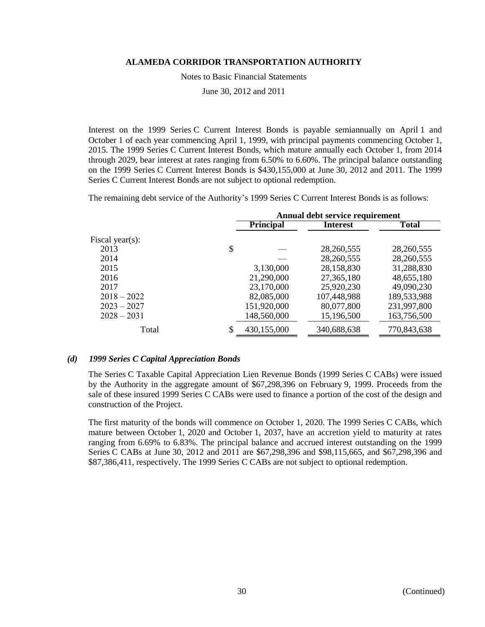Notes to Basic Financial Statements

June 30, 2012 and 2011

Interest on the 1999 Series C Current Interest Bonds is payable semiannually on April 1 and October 1 of each year commencing April 1, 1999, with principal payments commencing October 1, 2015. The 1999 Series C Current Interest Bonds, which mature annually each October 1, from 2014 through 2029, bear interest at rates ranging from 6.50% to 6.60%. The principal balance outstanding on the 1999 Series C Current Interest Bonds is \$430,155,000 at June 30, 2012 and 2011. The 1999 Series C Current Interest Bonds are not subject to optional redemption.

The remaining debt service of the Authority's 1999 Series C Current Interest Bonds is as follows:

|                 | Annual debt service requirement |                 |              |  |  |  |
|-----------------|---------------------------------|-----------------|--------------|--|--|--|
|                 | <b>Principal</b>                | <b>Interest</b> | <b>Total</b> |  |  |  |
| Fiscal year(s): |                                 |                 |              |  |  |  |
| 2013            | \$                              | 28,260,555      | 28,260,555   |  |  |  |
| 2014            |                                 | 28,260,555      | 28,260,555   |  |  |  |
| 2015            | 3,130,000                       | 28,158,830      | 31,288,830   |  |  |  |
| 2016            | 21,290,000                      | 27,365,180      | 48,655,180   |  |  |  |
| 2017            | 23,170,000                      | 25,920,230      | 49,090,230   |  |  |  |
| $2018 - 2022$   | 82,085,000                      | 107,448,988     | 189,533,988  |  |  |  |
| $2023 - 2027$   | 151,920,000                     | 80,077,800      | 231,997,800  |  |  |  |
| $2028 - 2031$   | 148,560,000                     | 15,196,500      | 163,756,500  |  |  |  |
| Total           | \$<br>430,155,000               | 340,688,638     | 770,843,638  |  |  |  |

#### *(d) 1999 Series C Capital Appreciation Bonds*

The Series C Taxable Capital Appreciation Lien Revenue Bonds (1999 Series C CABs) were issued by the Authority in the aggregate amount of \$67,298,396 on February 9, 1999. Proceeds from the sale of these insured 1999 Series C CABs were used to finance a portion of the cost of the design and construction of the Project.

The first maturity of the bonds will commence on October 1, 2020. The 1999 Series C CABs, which mature between October 1, 2020 and October 1, 2037, have an accretion yield to maturity at rates ranging from 6.69% to 6.83%. The principal balance and accrued interest outstanding on the 1999 Series C CABs at June 30, 2012 and 2011 are \$67,298,396 and \$98,115,665, and \$67,298,396 and \$87,386,411, respectively. The 1999 Series C CABs are not subject to optional redemption.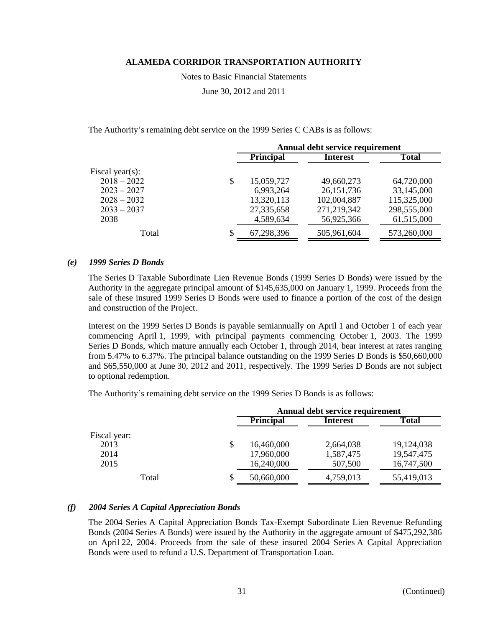Notes to Basic Financial Statements

June 30, 2012 and 2011

The Authority's remaining debt service on the 1999 Series C CABs is as follows:

|                 |    | Annual debt service requirement |                 |             |  |  |
|-----------------|----|---------------------------------|-----------------|-------------|--|--|
|                 |    | <b>Principal</b>                | <b>Interest</b> | Total       |  |  |
| Fiscal year(s): |    |                                 |                 |             |  |  |
| $2018 - 2022$   | \$ | 15,059,727                      | 49,660,273      | 64,720,000  |  |  |
| $2023 - 2027$   |    | 6,993,264                       | 26, 151, 736    | 33,145,000  |  |  |
| $2028 - 2032$   |    | 13,320,113                      | 102,004,887     | 115,325,000 |  |  |
| $2033 - 2037$   |    | 27,335,658                      | 271,219,342     | 298,555,000 |  |  |
| 2038            |    | 4,589,634                       | 56,925,366      | 61,515,000  |  |  |
| Total           | S  | 67,298,396                      | 505,961,604     | 573,260,000 |  |  |

## *(e) 1999 Series D Bonds*

The Series D Taxable Subordinate Lien Revenue Bonds (1999 Series D Bonds) were issued by the Authority in the aggregate principal amount of \$145,635,000 on January 1, 1999. Proceeds from the sale of these insured 1999 Series D Bonds were used to finance a portion of the cost of the design and construction of the Project.

Interest on the 1999 Series D Bonds is payable semiannually on April 1 and October 1 of each year commencing April 1, 1999, with principal payments commencing October 1, 2003. The 1999 Series D Bonds, which mature annually each October 1, through 2014, bear interest at rates ranging from 5.47% to 6.37%. The principal balance outstanding on the 1999 Series D Bonds is \$50,660,000 and \$65,550,000 at June 30, 2012 and 2011, respectively. The 1999 Series D Bonds are not subject to optional redemption.

The Authority's remaining debt service on the 1999 Series D Bonds is as follows:

|              |    |                  | Annual debt service requirement |              |
|--------------|----|------------------|---------------------------------|--------------|
|              |    | <b>Principal</b> | <b>Interest</b>                 | <b>Total</b> |
| Fiscal year: |    |                  |                                 |              |
| 2013         | \$ | 16,460,000       | 2,664,038                       | 19,124,038   |
| 2014         |    | 17,960,000       | 1,587,475                       | 19,547,475   |
| 2015         |    | 16,240,000       | 507,500                         | 16,747,500   |
| Total        | S  | 50,660,000       | 4,759,013                       | 55,419,013   |
|              |    |                  |                                 |              |

## *(f) 2004 Series A Capital Appreciation Bonds*

The 2004 Series A Capital Appreciation Bonds Tax-Exempt Subordinate Lien Revenue Refunding Bonds (2004 Series A Bonds) were issued by the Authority in the aggregate amount of \$475,292,386 on April 22, 2004. Proceeds from the sale of these insured 2004 Series A Capital Appreciation Bonds were used to refund a U.S. Department of Transportation Loan.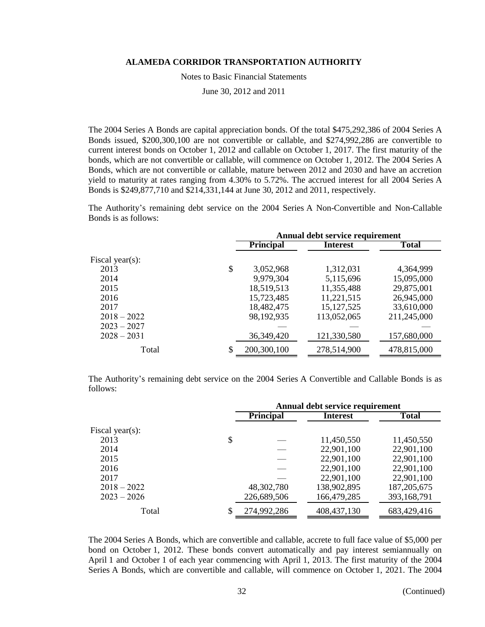Notes to Basic Financial Statements

June 30, 2012 and 2011

The 2004 Series A Bonds are capital appreciation bonds. Of the total \$475,292,386 of 2004 Series A Bonds issued, \$200,300,100 are not convertible or callable, and \$274,992,286 are convertible to current interest bonds on October 1, 2012 and callable on October 1, 2017. The first maturity of the bonds, which are not convertible or callable, will commence on October 1, 2012. The 2004 Series A Bonds, which are not convertible or callable, mature between 2012 and 2030 and have an accretion yield to maturity at rates ranging from 4.30% to 5.72%. The accrued interest for all 2004 Series A Bonds is \$249,877,710 and \$214,331,144 at June 30, 2012 and 2011, respectively.

The Authority's remaining debt service on the 2004 Series A Non-Convertible and Non-Callable Bonds is as follows:

|                 | Annual debt service requirement |                  |                 |              |  |
|-----------------|---------------------------------|------------------|-----------------|--------------|--|
|                 |                                 | <b>Principal</b> | <b>Interest</b> | <b>Total</b> |  |
| Fiscal year(s): |                                 |                  |                 |              |  |
| 2013            | \$                              | 3,052,968        | 1,312,031       | 4,364,999    |  |
| 2014            |                                 | 9,979,304        | 5,115,696       | 15,095,000   |  |
| 2015            |                                 | 18,519,513       | 11,355,488      | 29,875,001   |  |
| 2016            |                                 | 15,723,485       | 11,221,515      | 26,945,000   |  |
| 2017            |                                 | 18,482,475       | 15, 127, 525    | 33,610,000   |  |
| $2018 - 2022$   |                                 | 98,192,935       | 113,052,065     | 211,245,000  |  |
| $2023 - 2027$   |                                 |                  |                 |              |  |
| $2028 - 2031$   |                                 | 36, 349, 420     | 121,330,580     | 157,680,000  |  |
| Total           | \$                              | 200,300,100      | 278,514,900     | 478,815,000  |  |
|                 |                                 |                  |                 |              |  |

The Authority's remaining debt service on the 2004 Series A Convertible and Callable Bonds is as follows:

|                 | Annual debt service requirement |                  |                 |               |
|-----------------|---------------------------------|------------------|-----------------|---------------|
|                 |                                 | <b>Principal</b> | <b>Interest</b> | <b>Total</b>  |
| Fiscal year(s): |                                 |                  |                 |               |
| 2013            | \$                              |                  | 11,450,550      | 11,450,550    |
| 2014            |                                 |                  | 22,901,100      | 22,901,100    |
| 2015            |                                 |                  | 22,901,100      | 22,901,100    |
| 2016            |                                 |                  | 22,901,100      | 22,901,100    |
| 2017            |                                 |                  | 22,901,100      | 22,901,100    |
| $2018 - 2022$   |                                 | 48,302,780       | 138,902,895     | 187, 205, 675 |
| $2023 - 2026$   |                                 | 226,689,506      | 166,479,285     | 393,168,791   |
| Total           | S                               | 274,992,286      | 408, 437, 130   | 683,429,416   |

The 2004 Series A Bonds, which are convertible and callable, accrete to full face value of \$5,000 per bond on October 1, 2012. These bonds convert automatically and pay interest semiannually on April 1 and October 1 of each year commencing with April 1, 2013. The first maturity of the 2004 Series A Bonds, which are convertible and callable, will commence on October 1, 2021. The 2004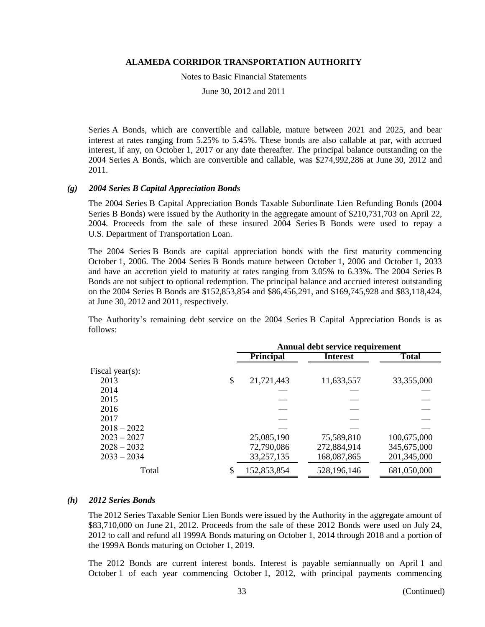Notes to Basic Financial Statements

June 30, 2012 and 2011

Series A Bonds, which are convertible and callable, mature between 2021 and 2025, and bear interest at rates ranging from 5.25% to 5.45%. These bonds are also callable at par, with accrued interest, if any, on October 1, 2017 or any date thereafter. The principal balance outstanding on the 2004 Series A Bonds, which are convertible and callable, was \$274,992,286 at June 30, 2012 and 2011.

#### *(g) 2004 Series B Capital Appreciation Bonds*

The 2004 Series B Capital Appreciation Bonds Taxable Subordinate Lien Refunding Bonds (2004 Series B Bonds) were issued by the Authority in the aggregate amount of \$210,731,703 on April 22, 2004. Proceeds from the sale of these insured 2004 Series B Bonds were used to repay a U.S. Department of Transportation Loan.

The 2004 Series B Bonds are capital appreciation bonds with the first maturity commencing October 1, 2006. The 2004 Series B Bonds mature between October 1, 2006 and October 1, 2033 and have an accretion yield to maturity at rates ranging from 3.05% to 6.33%. The 2004 Series B Bonds are not subject to optional redemption. The principal balance and accrued interest outstanding on the 2004 Series B Bonds are \$152,853,854 and \$86,456,291, and \$169,745,928 and \$83,118,424, at June 30, 2012 and 2011, respectively.

The Authority's remaining debt service on the 2004 Series B Capital Appreciation Bonds is as follows:

|                 | Annual debt service requirement |                  |                 |              |
|-----------------|---------------------------------|------------------|-----------------|--------------|
|                 |                                 | <b>Principal</b> | <b>Interest</b> | <b>Total</b> |
| Fiscal year(s): |                                 |                  |                 |              |
| 2013            | \$                              | 21,721,443       | 11,633,557      | 33,355,000   |
| 2014            |                                 |                  |                 |              |
| 2015            |                                 |                  |                 |              |
| 2016            |                                 |                  |                 |              |
| 2017            |                                 |                  |                 |              |
| $2018 - 2022$   |                                 |                  |                 |              |
| $2023 - 2027$   |                                 | 25,085,190       | 75,589,810      | 100,675,000  |
| $2028 - 2032$   |                                 | 72,790,086       | 272,884,914     | 345,675,000  |
| $2033 - 2034$   |                                 | 33,257,135       | 168,087,865     | 201,345,000  |
| Total           | \$                              | 152,853,854      | 528,196,146     | 681,050,000  |

### *(h) 2012 Series Bonds*

The 2012 Series Taxable Senior Lien Bonds were issued by the Authority in the aggregate amount of \$83,710,000 on June 21, 2012. Proceeds from the sale of these 2012 Bonds were used on July 24, 2012 to call and refund all 1999A Bonds maturing on October 1, 2014 through 2018 and a portion of the 1999A Bonds maturing on October 1, 2019.

The 2012 Bonds are current interest bonds. Interest is payable semiannually on April 1 and October 1 of each year commencing October 1, 2012, with principal payments commencing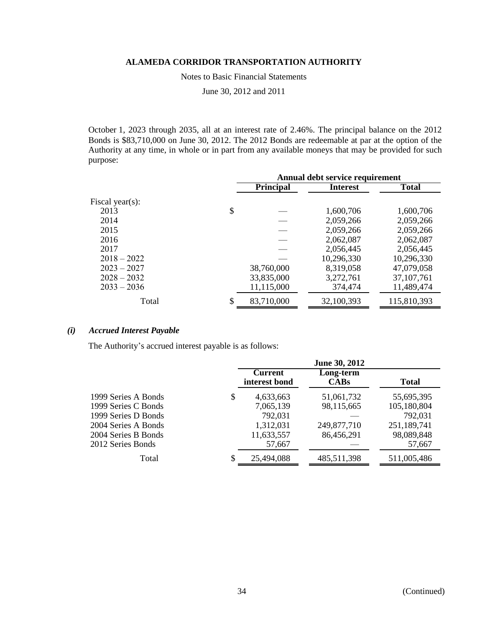Notes to Basic Financial Statements

June 30, 2012 and 2011

October 1, 2023 through 2035, all at an interest rate of 2.46%. The principal balance on the 2012 Bonds is \$83,710,000 on June 30, 2012. The 2012 Bonds are redeemable at par at the option of the Authority at any time, in whole or in part from any available moneys that may be provided for such purpose:

|                 | Annual debt service requirement |                  |                 |              |
|-----------------|---------------------------------|------------------|-----------------|--------------|
|                 |                                 | <b>Principal</b> | <b>Interest</b> | <b>Total</b> |
| Fiscal year(s): |                                 |                  |                 |              |
| 2013            | \$                              |                  | 1,600,706       | 1,600,706    |
| 2014            |                                 |                  | 2,059,266       | 2,059,266    |
| 2015            |                                 |                  | 2,059,266       | 2,059,266    |
| 2016            |                                 |                  | 2,062,087       | 2,062,087    |
| 2017            |                                 |                  | 2,056,445       | 2,056,445    |
| $2018 - 2022$   |                                 |                  | 10,296,330      | 10,296,330   |
| $2023 - 2027$   |                                 | 38,760,000       | 8,319,058       | 47,079,058   |
| $2028 - 2032$   |                                 | 33,835,000       | 3,272,761       | 37, 107, 761 |
| $2033 - 2036$   |                                 | 11,115,000       | 374,474         | 11,489,474   |
| Total           | \$                              | 83,710,000       | 32,100,393      | 115,810,393  |
|                 |                                 |                  |                 |              |

## *(i) Accrued Interest Payable*

The Authority's accrued interest payable is as follows:

| <b>Current</b><br>interest bond | Long-term<br><b>CABs</b> | <b>Total</b>  |
|---------------------------------|--------------------------|---------------|
| \$<br>4,633,663                 | 51,061,732               | 55,695,395    |
| 7,065,139                       | 98,115,665               | 105,180,804   |
| 792,031                         |                          | 792,031       |
| 1,312,031                       | 249,877,710              | 251,189,741   |
| 11,633,557                      | 86,456,291               | 98,089,848    |
| 57,667                          |                          | 57,667        |
| \$<br>25,494,088                | 485,511,398              | 511,005,486   |
|                                 |                          | June 30, 2012 |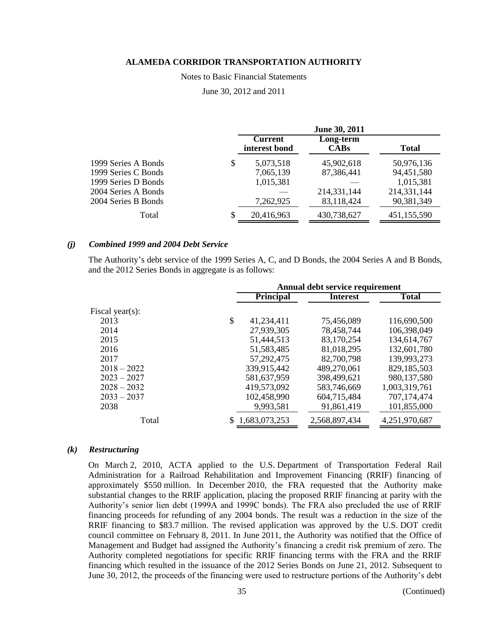Notes to Basic Financial Statements

June 30, 2012 and 2011

|                     | June 30, 2011                   |                          |              |
|---------------------|---------------------------------|--------------------------|--------------|
|                     | <b>Current</b><br>interest bond | Long-term<br><b>CABs</b> | <b>Total</b> |
| 1999 Series A Bonds | \$<br>5,073,518                 | 45,902,618               | 50,976,136   |
| 1999 Series C Bonds | 7,065,139                       | 87,386,441               | 94,451,580   |
| 1999 Series D Bonds | 1,015,381                       |                          | 1,015,381    |
| 2004 Series A Bonds |                                 | 214,331,144              | 214,331,144  |
| 2004 Series B Bonds | 7,262,925                       | 83,118,424               | 90,381,349   |
| Total               | \$<br>20,416,963                | 430,738,627              | 451,155,590  |

#### *(j) Combined 1999 and 2004 Debt Service*

The Authority's debt service of the 1999 Series A, C, and D Bonds, the 2004 Series A and B Bonds, and the 2012 Series Bonds in aggregate is as follows:

|                 | Annual debt service requirement |                  |                 |               |
|-----------------|---------------------------------|------------------|-----------------|---------------|
|                 |                                 | <b>Principal</b> | <b>Interest</b> | <b>Total</b>  |
| Fiscal year(s): |                                 |                  |                 |               |
| 2013            | \$                              | 41,234,411       | 75,456,089      | 116,690,500   |
| 2014            |                                 | 27,939,305       | 78,458,744      | 106,398,049   |
| 2015            |                                 | 51,444,513       | 83,170,254      | 134,614,767   |
| 2016            |                                 | 51, 583, 485     | 81,018,295      | 132,601,780   |
| 2017            |                                 | 57, 292, 475     | 82,700,798      | 139,993,273   |
| $2018 - 2022$   |                                 | 339,915,442      | 489,270,061     | 829,185,503   |
| $2023 - 2027$   |                                 | 581,637,959      | 398,499,621     | 980, 137, 580 |
| $2028 - 2032$   |                                 | 419,573,092      | 583,746,669     | 1,003,319,761 |
| $2033 - 2037$   |                                 | 102,458,990      | 604,715,484     | 707,174,474   |
| 2038            |                                 | 9,993,581        | 91,861,419      | 101,855,000   |
| Total           |                                 | 1,683,073,253    | 2,568,897,434   | 4,251,970,687 |
|                 |                                 |                  |                 |               |

#### *(k) Restructuring*

On March 2, 2010, ACTA applied to the U.S. Department of Transportation Federal Rail Administration for a Railroad Rehabilitation and Improvement Financing (RRIF) financing of approximately \$550 million. In December 2010, the FRA requested that the Authority make substantial changes to the RRIF application, placing the proposed RRIF financing at parity with the Authority's senior lien debt (1999A and 1999C bonds). The FRA also precluded the use of RRIF financing proceeds for refunding of any 2004 bonds. The result was a reduction in the size of the RRIF financing to \$83.7 million. The revised application was approved by the U.S. DOT credit council committee on February 8, 2011. In June 2011, the Authority was notified that the Office of Management and Budget had assigned the Authority's financing a credit risk premium of zero. The Authority completed negotiations for specific RRIF financing terms with the FRA and the RRIF financing which resulted in the issuance of the 2012 Series Bonds on June 21, 2012. Subsequent to June 30, 2012, the proceeds of the financing were used to restructure portions of the Authority's debt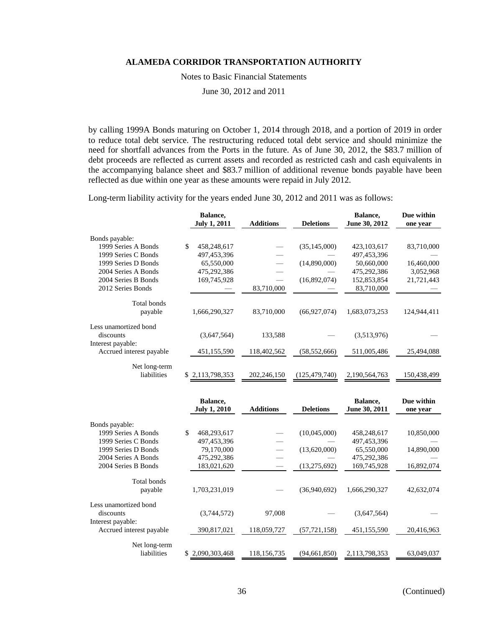Notes to Basic Financial Statements

June 30, 2012 and 2011

by calling 1999A Bonds maturing on October 1, 2014 through 2018, and a portion of 2019 in order to reduce total debt service. The restructuring reduced total debt service and should minimize the need for shortfall advances from the Ports in the future. As of June 30, 2012, the \$83.7 million of debt proceeds are reflected as current assets and recorded as restricted cash and cash equivalents in the accompanying balance sheet and \$83.7 million of additional revenue bonds payable have been reflected as due within one year as these amounts were repaid in July 2012.

Long-term liability activity for the years ended June 30, 2012 and 2011 was as follows:

|                          | Balance,<br><b>July 1, 2011</b> | <b>Additions</b> | <b>Deletions</b> | Balance,<br>June 30, 2012 | Due within<br>one year |
|--------------------------|---------------------------------|------------------|------------------|---------------------------|------------------------|
| Bonds payable:           |                                 |                  |                  |                           |                        |
| 1999 Series A Bonds      | \$<br>458,248,617               |                  | (35, 145, 000)   | 423, 103, 617             | 83,710,000             |
| 1999 Series C Bonds      | 497,453,396                     |                  |                  | 497,453,396               |                        |
| 1999 Series D Bonds      | 65,550,000                      |                  | (14,890,000)     | 50,660,000                | 16,460,000             |
| 2004 Series A Bonds      | 475,292,386                     |                  |                  | 475,292,386               | 3,052,968              |
| 2004 Series B Bonds      | 169,745,928                     |                  | (16,892,074)     | 152,853,854               | 21,721,443             |
| 2012 Series Bonds        |                                 | 83,710,000       |                  | 83,710,000                |                        |
| Total bonds<br>payable   | 1,666,290,327                   | 83,710,000       | (66,927,074)     | 1,683,073,253             | 124,944,411            |
|                          |                                 |                  |                  |                           |                        |
| Less unamortized bond    |                                 |                  |                  |                           |                        |
| discounts                | (3,647,564)                     | 133,588          |                  | (3.513, 976)              |                        |
| Interest payable:        |                                 |                  |                  |                           |                        |
| Accrued interest payable | 451,155,590                     | 118,402,562      | (58, 552, 666)   | 511,005,486               | 25,494,088             |
| Net long-term            |                                 |                  |                  |                           |                        |
| liabilities              | \$2,113,798,353                 | 202,246,150      | (125, 479, 740)  | 2,190,564,763             | 150,438,499            |

|                          | Balance,<br><b>July 1, 2010</b> | <b>Additions</b> | <b>Deletions</b> | Balance,<br>June 30, 2011 | Due within<br>one year |
|--------------------------|---------------------------------|------------------|------------------|---------------------------|------------------------|
|                          |                                 |                  |                  |                           |                        |
| Bonds payable:           |                                 |                  |                  |                           |                        |
| 1999 Series A Bonds      | \$<br>468,293,617               |                  | (10,045,000)     | 458,248,617               | 10,850,000             |
| 1999 Series C Bonds      | 497,453,396                     |                  |                  | 497,453,396               |                        |
| 1999 Series D Bonds      | 79,170,000                      |                  | (13,620,000)     | 65,550,000                | 14,890,000             |
| 2004 Series A Bonds      | 475,292,386                     |                  |                  | 475,292,386               |                        |
| 2004 Series B Bonds      | 183,021,620                     |                  | (13,275,692)     | 169,745,928               | 16,892,074             |
|                          |                                 |                  |                  |                           |                        |
| Total bonds              |                                 |                  |                  |                           |                        |
| payable                  | 1,703,231,019                   |                  | (36,940,692)     | 1,666,290,327             | 42,632,074             |
| Less unamortized bond    |                                 |                  |                  |                           |                        |
| discounts                | (3,744,572)                     | 97,008           |                  | (3,647,564)               |                        |
|                          |                                 |                  |                  |                           |                        |
| Interest payable:        |                                 |                  |                  |                           |                        |
| Accrued interest payable | 390,817,021                     | 118,059,727      | (57, 721, 158)   | 451,155,590               | 20,416,963             |
| Net long-term            |                                 |                  |                  |                           |                        |
| liabilities              | \$2,090,303,468                 | 118,156,735      | (94, 661, 850)   | 2,113,798,353             | 63,049,037             |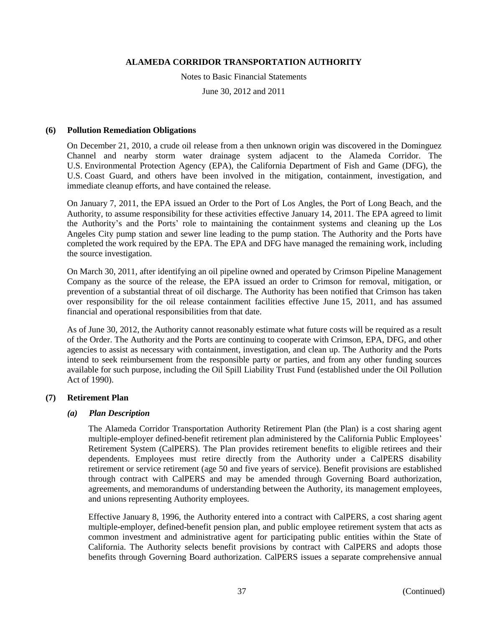Notes to Basic Financial Statements

June 30, 2012 and 2011

### **(6) Pollution Remediation Obligations**

On December 21, 2010, a crude oil release from a then unknown origin was discovered in the Dominguez Channel and nearby storm water drainage system adjacent to the Alameda Corridor. The U.S. Environmental Protection Agency (EPA), the California Department of Fish and Game (DFG), the U.S. Coast Guard, and others have been involved in the mitigation, containment, investigation, and immediate cleanup efforts, and have contained the release.

On January 7, 2011, the EPA issued an Order to the Port of Los Angles, the Port of Long Beach, and the Authority, to assume responsibility for these activities effective January 14, 2011. The EPA agreed to limit the Authority's and the Ports' role to maintaining the containment systems and cleaning up the Los Angeles City pump station and sewer line leading to the pump station. The Authority and the Ports have completed the work required by the EPA. The EPA and DFG have managed the remaining work, including the source investigation.

On March 30, 2011, after identifying an oil pipeline owned and operated by Crimson Pipeline Management Company as the source of the release, the EPA issued an order to Crimson for removal, mitigation, or prevention of a substantial threat of oil discharge. The Authority has been notified that Crimson has taken over responsibility for the oil release containment facilities effective June 15, 2011, and has assumed financial and operational responsibilities from that date.

As of June 30, 2012, the Authority cannot reasonably estimate what future costs will be required as a result of the Order. The Authority and the Ports are continuing to cooperate with Crimson, EPA, DFG, and other agencies to assist as necessary with containment, investigation, and clean up. The Authority and the Ports intend to seek reimbursement from the responsible party or parties, and from any other funding sources available for such purpose, including the Oil Spill Liability Trust Fund (established under the Oil Pollution Act of 1990).

## **(7) Retirement Plan**

#### *(a) Plan Description*

The Alameda Corridor Transportation Authority Retirement Plan (the Plan) is a cost sharing agent multiple-employer defined-benefit retirement plan administered by the California Public Employees' Retirement System (CalPERS). The Plan provides retirement benefits to eligible retirees and their dependents. Employees must retire directly from the Authority under a CalPERS disability retirement or service retirement (age 50 and five years of service). Benefit provisions are established through contract with CalPERS and may be amended through Governing Board authorization, agreements, and memorandums of understanding between the Authority, its management employees, and unions representing Authority employees.

Effective January 8, 1996, the Authority entered into a contract with CalPERS, a cost sharing agent multiple-employer, defined-benefit pension plan, and public employee retirement system that acts as common investment and administrative agent for participating public entities within the State of California. The Authority selects benefit provisions by contract with CalPERS and adopts those benefits through Governing Board authorization. CalPERS issues a separate comprehensive annual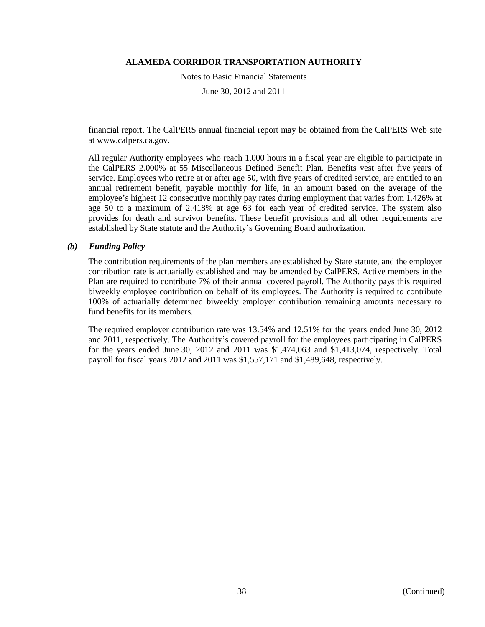Notes to Basic Financial Statements

June 30, 2012 and 2011

financial report. The CalPERS annual financial report may be obtained from the CalPERS Web site at www.calpers.ca.gov.

All regular Authority employees who reach 1,000 hours in a fiscal year are eligible to participate in the CalPERS 2.000% at 55 Miscellaneous Defined Benefit Plan. Benefits vest after five years of service. Employees who retire at or after age 50, with five years of credited service, are entitled to an annual retirement benefit, payable monthly for life, in an amount based on the average of the employee's highest 12 consecutive monthly pay rates during employment that varies from 1.426% at age 50 to a maximum of 2.418% at age 63 for each year of credited service. The system also provides for death and survivor benefits. These benefit provisions and all other requirements are established by State statute and the Authority's Governing Board authorization.

## *(b) Funding Policy*

The contribution requirements of the plan members are established by State statute, and the employer contribution rate is actuarially established and may be amended by CalPERS. Active members in the Plan are required to contribute 7% of their annual covered payroll. The Authority pays this required biweekly employee contribution on behalf of its employees. The Authority is required to contribute 100% of actuarially determined biweekly employer contribution remaining amounts necessary to fund benefits for its members.

The required employer contribution rate was 13.54% and 12.51% for the years ended June 30, 2012 and 2011, respectively. The Authority's covered payroll for the employees participating in CalPERS for the years ended June 30, 2012 and 2011 was \$1,474,063 and \$1,413,074, respectively. Total payroll for fiscal years 2012 and 2011 was \$1,557,171 and \$1,489,648, respectively.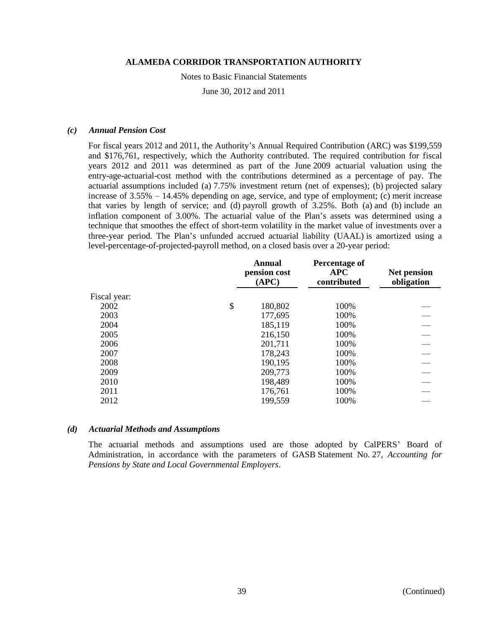Notes to Basic Financial Statements

June 30, 2012 and 2011

#### *(c) Annual Pension Cost*

For fiscal years 2012 and 2011, the Authority's Annual Required Contribution (ARC) was \$199,559 and \$176,761, respectively, which the Authority contributed. The required contribution for fiscal years 2012 and 2011 was determined as part of the June 2009 actuarial valuation using the entry-age-actuarial-cost method with the contributions determined as a percentage of pay. The actuarial assumptions included (a) 7.75% investment return (net of expenses); (b) projected salary increase of 3.55% – 14.45% depending on age, service, and type of employment; (c) merit increase that varies by length of service; and (d) payroll growth of 3.25%. Both (a) and (b) include an inflation component of 3.00%. The actuarial value of the Plan's assets was determined using a technique that smoothes the effect of short-term volatility in the market value of investments over a three-year period. The Plan's unfunded accrued actuarial liability (UAAL) is amortized using a level-percentage-of-projected-payroll method, on a closed basis over a 20-year period:

|              | Annual<br>pension cost<br>(APC) | Percentage of<br><b>APC</b><br>contributed | <b>Net pension</b><br>obligation |
|--------------|---------------------------------|--------------------------------------------|----------------------------------|
| Fiscal year: |                                 |                                            |                                  |
| 2002         | \$<br>180,802                   | 100%                                       |                                  |
| 2003         | 177,695                         | 100%                                       |                                  |
| 2004         | 185,119                         | 100%                                       |                                  |
| 2005         | 216,150                         | 100%                                       |                                  |
| 2006         | 201,711                         | 100%                                       |                                  |
| 2007         | 178,243                         | 100%                                       |                                  |
| 2008         | 190,195                         | 100%                                       |                                  |
| 2009         | 209,773                         | 100%                                       |                                  |
| 2010         | 198,489                         | 100%                                       |                                  |
| 2011         | 176,761                         | 100%                                       |                                  |
| 2012         | 199,559                         | 100%                                       |                                  |

#### *(d) Actuarial Methods and Assumptions*

The actuarial methods and assumptions used are those adopted by CalPERS' Board of Administration, in accordance with the parameters of GASB Statement No. 27, *Accounting for Pensions by State and Local Governmental Employers*.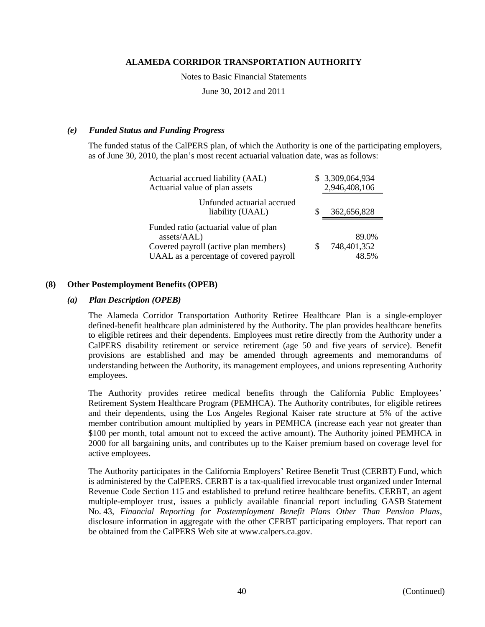Notes to Basic Financial Statements

June 30, 2012 and 2011

### *(e) Funded Status and Funding Progress*

The funded status of the CalPERS plan, of which the Authority is one of the participating employers, as of June 30, 2010, the plan's most recent actuarial valuation date, was as follows:

| Actuarial accrued liability (AAL)<br>Actuarial value of plan assets | \$3,309,064,934<br>2,946,408,106 |
|---------------------------------------------------------------------|----------------------------------|
| Unfunded actuarial accrued<br>liability (UAAL)                      | 362,656,828                      |
| Funded ratio (actuarial value of plan<br>assets/AAL)                | 89.0%                            |
| Covered payroll (active plan members)                               | 748,401,352                      |

## **(8) Other Postemployment Benefits (OPEB)**

## *(a) Plan Description (OPEB)*

The Alameda Corridor Transportation Authority Retiree Healthcare Plan is a single-employer defined-benefit healthcare plan administered by the Authority. The plan provides healthcare benefits to eligible retirees and their dependents. Employees must retire directly from the Authority under a CalPERS disability retirement or service retirement (age 50 and five years of service). Benefit provisions are established and may be amended through agreements and memorandums of understanding between the Authority, its management employees, and unions representing Authority employees.

The Authority provides retiree medical benefits through the California Public Employees' Retirement System Healthcare Program (PEMHCA). The Authority contributes, for eligible retirees and their dependents, using the Los Angeles Regional Kaiser rate structure at 5% of the active member contribution amount multiplied by years in PEMHCA (increase each year not greater than \$100 per month, total amount not to exceed the active amount). The Authority joined PEMHCA in 2000 for all bargaining units, and contributes up to the Kaiser premium based on coverage level for active employees.

The Authority participates in the California Employers' Retiree Benefit Trust (CERBT) Fund, which is administered by the CalPERS. CERBT is a tax-qualified irrevocable trust organized under Internal Revenue Code Section 115 and established to prefund retiree healthcare benefits. CERBT, an agent multiple-employer trust, issues a publicly available financial report including GASB Statement No. 43, *Financial Reporting for Postemployment Benefit Plans Other Than Pension Plans*, disclosure information in aggregate with the other CERBT participating employers. That report can be obtained from the CalPERS Web site at www.calpers.ca.gov.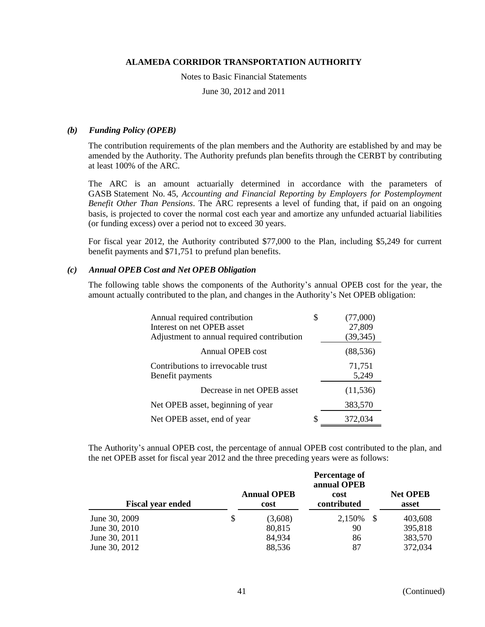Notes to Basic Financial Statements

June 30, 2012 and 2011

### *(b) Funding Policy (OPEB)*

The contribution requirements of the plan members and the Authority are established by and may be amended by the Authority. The Authority prefunds plan benefits through the CERBT by contributing at least 100% of the ARC.

The ARC is an amount actuarially determined in accordance with the parameters of GASB Statement No. 45, *Accounting and Financial Reporting by Employers for Postemployment Benefit Other Than Pensions*. The ARC represents a level of funding that, if paid on an ongoing basis, is projected to cover the normal cost each year and amortize any unfunded actuarial liabilities (or funding excess) over a period not to exceed 30 years.

For fiscal year 2012, the Authority contributed \$77,000 to the Plan, including \$5,249 for current benefit payments and \$71,751 to prefund plan benefits.

## *(c) Annual OPEB Cost and Net OPEB Obligation*

The following table shows the components of the Authority's annual OPEB cost for the year, the amount actually contributed to the plan, and changes in the Authority's Net OPEB obligation:

| Annual required contribution<br>Interest on net OPEB asset<br>Adjustment to annual required contribution | S | (77,000)<br>27,809<br>(39, 345) |
|----------------------------------------------------------------------------------------------------------|---|---------------------------------|
| Annual OPEB cost                                                                                         |   | (88, 536)                       |
| Contributions to irrevocable trust<br>Benefit payments                                                   |   | 71,751<br>5,249                 |
| Decrease in net OPEB asset                                                                               |   | (11, 536)                       |
| Net OPEB asset, beginning of year                                                                        |   | 383,570                         |
| Net OPEB asset, end of year                                                                              | S | 372,034                         |
|                                                                                                          |   |                                 |

The Authority's annual OPEB cost, the percentage of annual OPEB cost contributed to the plan, and the net OPEB asset for fiscal year 2012 and the three preceding years were as follows:

|                          | Percentage of<br>annual OPEB |                            |                     |    |                          |  |
|--------------------------|------------------------------|----------------------------|---------------------|----|--------------------------|--|
| <b>Fiscal year ended</b> |                              | <b>Annual OPEB</b><br>cost | cost<br>contributed |    | <b>Net OPEB</b><br>asset |  |
| June 30, 2009            | S                            | (3,608)                    | 2,150%              | -S | 403,608                  |  |
| June 30, 2010            |                              | 80,815                     | 90                  |    | 395,818                  |  |
| June 30, 2011            |                              | 84,934                     | 86                  |    | 383,570                  |  |
| June 30, 2012            |                              | 88,536                     | 87                  |    | 372,034                  |  |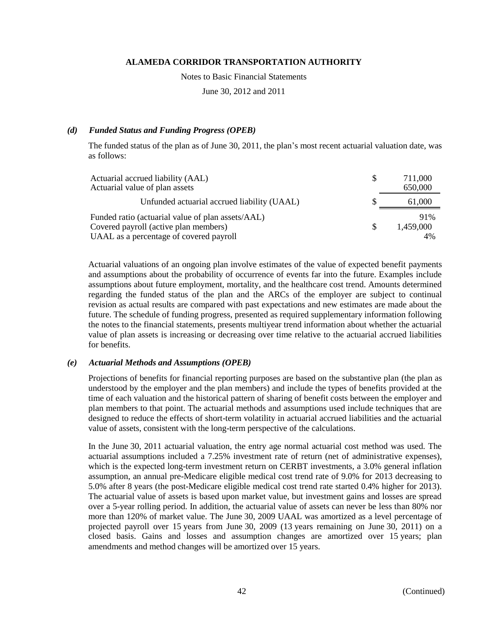Notes to Basic Financial Statements

June 30, 2012 and 2011

## *(d) Funded Status and Funding Progress (OPEB)*

The funded status of the plan as of June 30, 2011, the plan's most recent actuarial valuation date, was as follows:

| Actuarial accrued liability (AAL)<br>Actuarial value of plan assets                                                                   | S        | 711,000<br>650,000     |
|---------------------------------------------------------------------------------------------------------------------------------------|----------|------------------------|
| Unfunded actuarial accrued liability (UAAL)                                                                                           | S        | 61,000                 |
| Funded ratio (actuarial value of plan assets/AAL)<br>Covered payroll (active plan members)<br>UAAL as a percentage of covered payroll | <b>S</b> | 91%<br>1,459,000<br>4% |

Actuarial valuations of an ongoing plan involve estimates of the value of expected benefit payments and assumptions about the probability of occurrence of events far into the future. Examples include assumptions about future employment, mortality, and the healthcare cost trend. Amounts determined regarding the funded status of the plan and the ARCs of the employer are subject to continual revision as actual results are compared with past expectations and new estimates are made about the future. The schedule of funding progress, presented as required supplementary information following the notes to the financial statements, presents multiyear trend information about whether the actuarial value of plan assets is increasing or decreasing over time relative to the actuarial accrued liabilities for benefits.

## *(e) Actuarial Methods and Assumptions (OPEB)*

Projections of benefits for financial reporting purposes are based on the substantive plan (the plan as understood by the employer and the plan members) and include the types of benefits provided at the time of each valuation and the historical pattern of sharing of benefit costs between the employer and plan members to that point. The actuarial methods and assumptions used include techniques that are designed to reduce the effects of short-term volatility in actuarial accrued liabilities and the actuarial value of assets, consistent with the long-term perspective of the calculations.

In the June 30, 2011 actuarial valuation, the entry age normal actuarial cost method was used. The actuarial assumptions included a 7.25% investment rate of return (net of administrative expenses), which is the expected long-term investment return on CERBT investments, a 3.0% general inflation assumption, an annual pre-Medicare eligible medical cost trend rate of 9.0% for 2013 decreasing to 5.0% after 8 years (the post-Medicare eligible medical cost trend rate started 0.4% higher for 2013). The actuarial value of assets is based upon market value, but investment gains and losses are spread over a 5-year rolling period. In addition, the actuarial value of assets can never be less than 80% nor more than 120% of market value. The June 30, 2009 UAAL was amortized as a level percentage of projected payroll over 15 years from June 30, 2009 (13 years remaining on June 30, 2011) on a closed basis. Gains and losses and assumption changes are amortized over 15 years; plan amendments and method changes will be amortized over 15 years.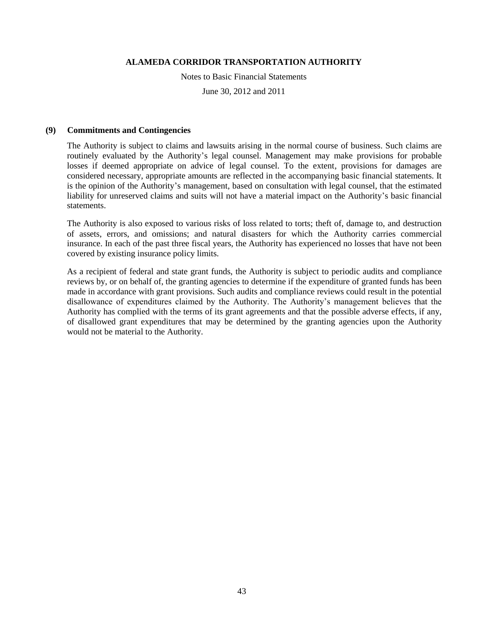Notes to Basic Financial Statements

June 30, 2012 and 2011

#### **(9) Commitments and Contingencies**

The Authority is subject to claims and lawsuits arising in the normal course of business. Such claims are routinely evaluated by the Authority's legal counsel. Management may make provisions for probable losses if deemed appropriate on advice of legal counsel. To the extent, provisions for damages are considered necessary, appropriate amounts are reflected in the accompanying basic financial statements. It is the opinion of the Authority's management, based on consultation with legal counsel, that the estimated liability for unreserved claims and suits will not have a material impact on the Authority's basic financial statements.

The Authority is also exposed to various risks of loss related to torts; theft of, damage to, and destruction of assets, errors, and omissions; and natural disasters for which the Authority carries commercial insurance. In each of the past three fiscal years, the Authority has experienced no losses that have not been covered by existing insurance policy limits.

As a recipient of federal and state grant funds, the Authority is subject to periodic audits and compliance reviews by, or on behalf of, the granting agencies to determine if the expenditure of granted funds has been made in accordance with grant provisions. Such audits and compliance reviews could result in the potential disallowance of expenditures claimed by the Authority. The Authority's management believes that the Authority has complied with the terms of its grant agreements and that the possible adverse effects, if any, of disallowed grant expenditures that may be determined by the granting agencies upon the Authority would not be material to the Authority.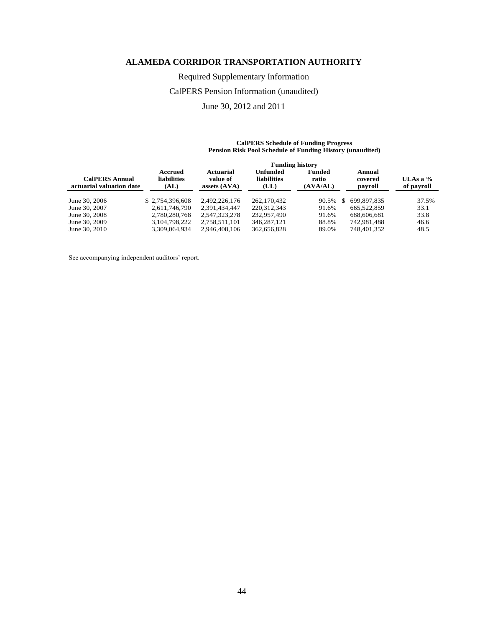Required Supplementary Information

CalPERS Pension Information (unaudited)

June 30, 2012 and 2011

#### **CalPERS Schedule of Funding Progress Pension Risk Pool Schedule of Funding History (unaudited)**

|                                                   | <b>Funding history</b>                |                                       |                                 |                                    |                              |                          |
|---------------------------------------------------|---------------------------------------|---------------------------------------|---------------------------------|------------------------------------|------------------------------|--------------------------|
| <b>CalPERS Annual</b><br>actuarial valuation date | Accrued<br><b>liabilities</b><br>(AL) | Actuarial<br>value of<br>assets (AVA) | Unfunded<br>liabilities<br>(UL) | <b>Funded</b><br>ratio<br>(AVA/AL) | Annual<br>covered<br>payroll | ULAs a $%$<br>of payroll |
| June 30, 2006                                     | \$2.754.396.608                       | 2.492.226.176                         | 262,170,432                     | 90.5%<br>\$.                       | 699.897.835                  | 37.5%                    |
| June 30, 2007                                     | 2,611,746,790                         | 2.391.434.447                         | 220.312.343                     | 91.6%                              | 665,522,859                  | 33.1                     |
| June 30, 2008                                     | 2,780,280,768                         | 2.547.323.278                         | 232,957,490                     | 91.6%                              | 688,606,681                  | 33.8                     |
| June 30, 2009                                     | 3,104,798,222                         | 2,758,511,101                         | 346, 287, 121                   | 88.8%                              | 742,981,488                  | 46.6                     |
| June 30, 2010                                     | 3.309.064.934                         | 2.946.408.106                         | 362,656,828                     | 89.0%                              | 748.401.352                  | 48.5                     |

See accompanying independent auditors' report.